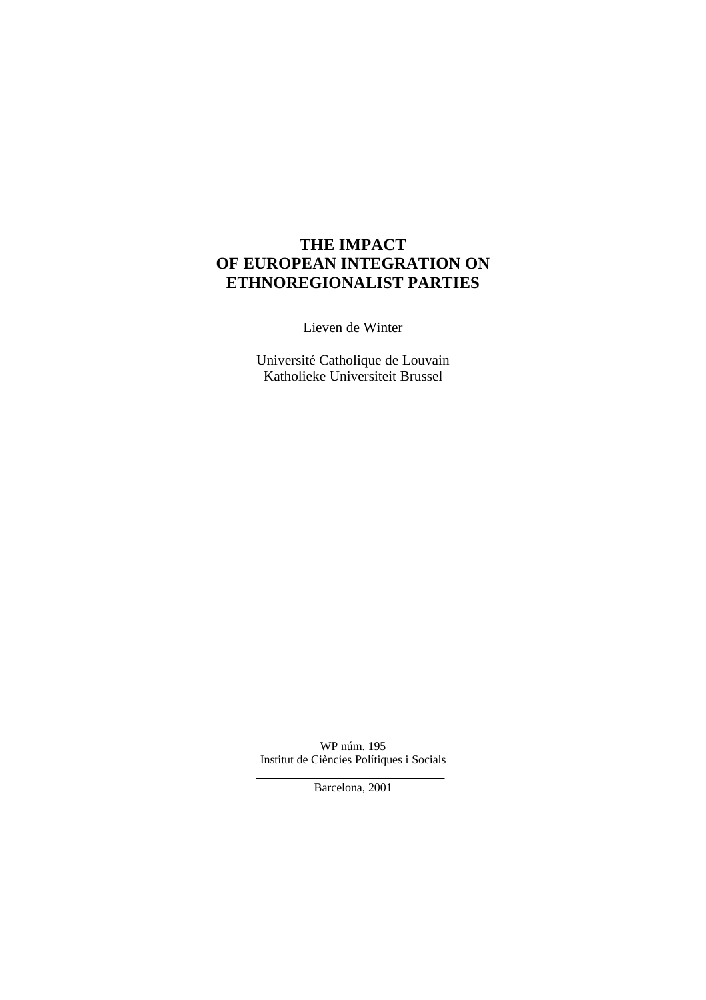# **THE IMPACT OF EUROPEAN INTEGRATION ON ETHNOREGIONALIST PARTIES**

Lieven de Winter

Université Catholique de Louvain Katholieke Universiteit Brussel

WP núm. 195 Institut de Ciències Polítiques i Socials

Barcelona, 2001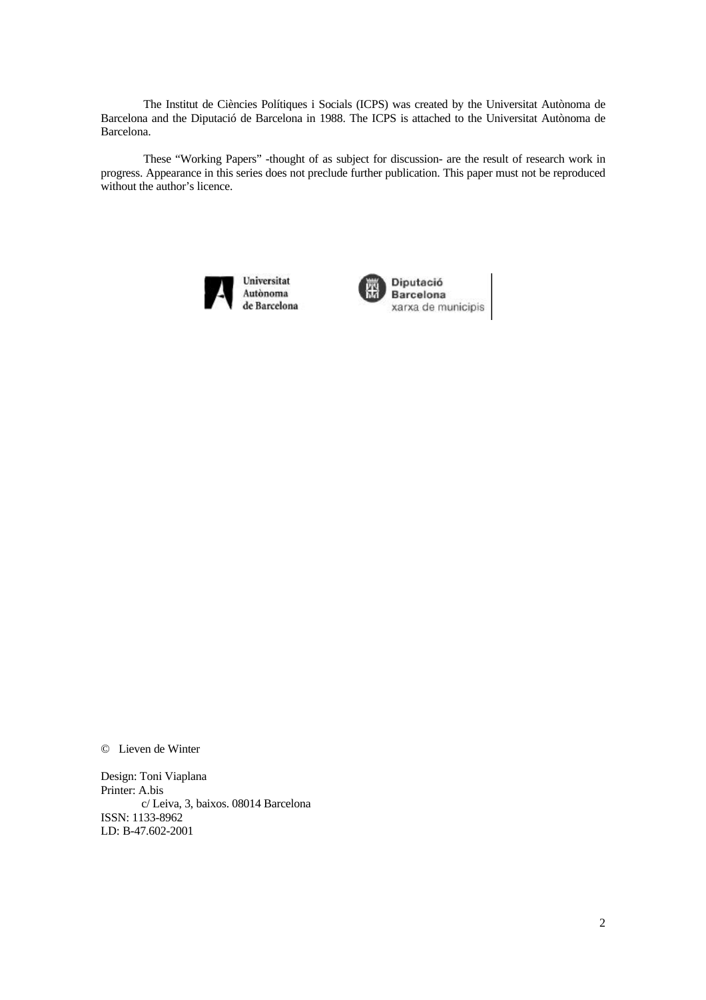The Institut de Ciències Polítiques i Socials (ICPS) was created by the Universitat Autònoma de Barcelona and the Diputació de Barcelona in 1988. The ICPS is attached to the Universitat Autònoma de Barcelona.

These "Working Papers" -thought of as subject for discussion- are the result of research work in progress. Appearance in this series does not preclude further publication. This paper must not be reproduced without the author's licence.





Barcelona xarxa de municipis

© Lieven de Winter

Design: Toni Viaplana Printer: A.bis c/ Leiva, 3, baixos. 08014 Barcelona ISSN: 1133-8962 LD: B-47.602-2001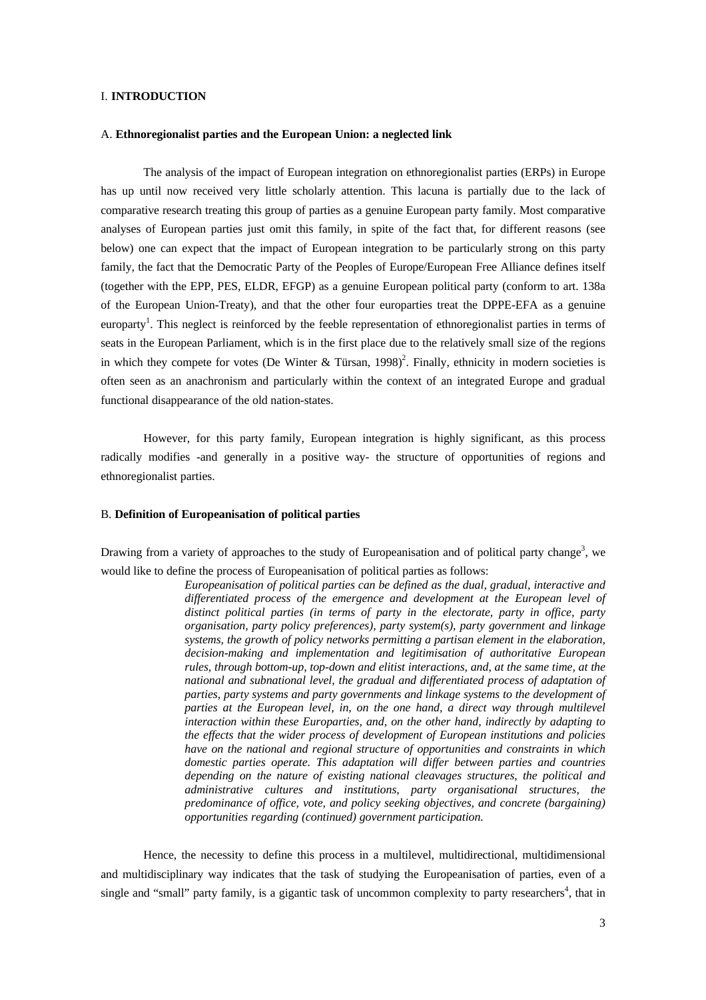#### I. **INTRODUCTION**

### A. **Ethnoregionalist parties and the European Union: a neglected link**

The analysis of the impact of European integration on ethnoregionalist parties (ERPs) in Europe has up until now received very little scholarly attention. This lacuna is partially due to the lack of comparative research treating this group of parties as a genuine European party family. Most comparative analyses of European parties just omit this family, in spite of the fact that, for different reasons (see below) one can expect that the impact of European integration to be particularly strong on this party family, the fact that the Democratic Party of the Peoples of Europe/European Free Alliance defines itself (together with the EPP, PES, ELDR, EFGP) as a genuine European political party (conform to art. 138a of the European Union-Treaty), and that the other four europarties treat the DPPE-EFA as a genuine europarty<sup>1</sup>. This neglect is reinforced by the feeble representation of ethnoregionalist parties in terms of seats in the European Parliament, which is in the first place due to the relatively small size of the regions in which they compete for votes (De Winter & Türsan, 1998)<sup>2</sup>. Finally, ethnicity in modern societies is often seen as an anachronism and particularly within the context of an integrated Europe and gradual functional disappearance of the old nation-states.

However, for this party family, European integration is highly significant, as this process radically modifies -and generally in a positive way- the structure of opportunities of regions and ethnoregionalist parties.

### B. **Definition of Europeanisation of political parties**

Drawing from a variety of approaches to the study of Europeanisation and of political party change<sup>3</sup>, we would like to define the process of Europeanisation of political parties as follows:

> *Europeanisation of political parties can be defined as the dual, gradual, interactive and differentiated process of the emergence and development at the European level of distinct political parties (in terms of party in the electorate, party in office, party organisation, party policy preferences), party system(s), party government and linkage systems, the growth of policy networks permitting a partisan element in the elaboration, decision-making and implementation and legitimisation of authoritative European rules, through bottom-up, top-down and elitist interactions, and, at the same time, at the national and subnational level, the gradual and differentiated process of adaptation of parties, party systems and party governments and linkage systems to the development of parties at the European level, in, on the one hand, a direct way through multilevel interaction within these Europarties, and, on the other hand, indirectly by adapting to the effects that the wider process of development of European institutions and policies have on the national and regional structure of opportunities and constraints in which domestic parties operate. This adaptation will differ between parties and countries depending on the nature of existing national cleavages structures, the political and administrative cultures and institutions, party organisational structures, the predominance of office, vote, and policy seeking objectives, and concrete (bargaining) opportunities regarding (continued) government participation.*

Hence, the necessity to define this process in a multilevel, multidirectional, multidimensional and multidisciplinary way indicates that the task of studying the Europeanisation of parties, even of a single and "small" party family, is a gigantic task of uncommon complexity to party researchers<sup>4</sup>, that in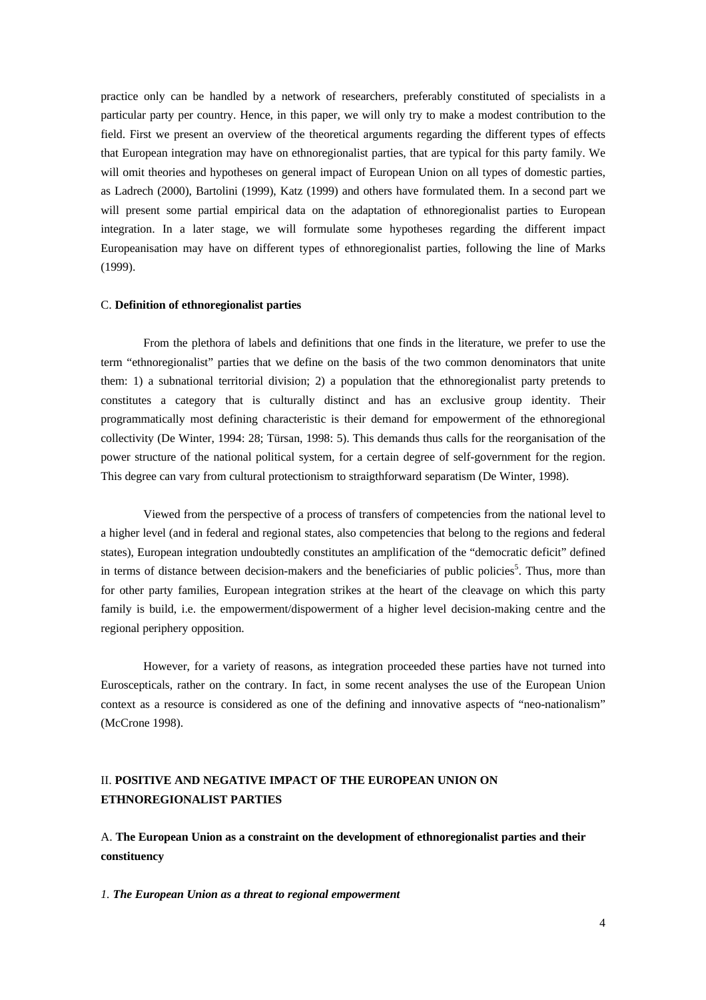practice only can be handled by a network of researchers, preferably constituted of specialists in a particular party per country. Hence, in this paper, we will only try to make a modest contribution to the field. First we present an overview of the theoretical arguments regarding the different types of effects that European integration may have on ethnoregionalist parties, that are typical for this party family. We will omit theories and hypotheses on general impact of European Union on all types of domestic parties, as Ladrech (2000), Bartolini (1999), Katz (1999) and others have formulated them. In a second part we will present some partial empirical data on the adaptation of ethnoregionalist parties to European integration. In a later stage, we will formulate some hypotheses regarding the different impact Europeanisation may have on different types of ethnoregionalist parties, following the line of Marks (1999).

### C. **Definition of ethnoregionalist parties**

From the plethora of labels and definitions that one finds in the literature, we prefer to use the term "ethnoregionalist" parties that we define on the basis of the two common denominators that unite them: 1) a subnational territorial division; 2) a population that the ethnoregionalist party pretends to constitutes a category that is culturally distinct and has an exclusive group identity. Their programmatically most defining characteristic is their demand for empowerment of the ethnoregional collectivity (De Winter, 1994: 28; Türsan, 1998: 5). This demands thus calls for the reorganisation of the power structure of the national political system, for a certain degree of self-government for the region. This degree can vary from cultural protectionism to straigthforward separatism (De Winter, 1998).

Viewed from the perspective of a process of transfers of competencies from the national level to a higher level (and in federal and regional states, also competencies that belong to the regions and federal states), European integration undoubtedly constitutes an amplification of the "democratic deficit" defined in terms of distance between decision-makers and the beneficiaries of public policies<sup>5</sup>. Thus, more than for other party families, European integration strikes at the heart of the cleavage on which this party family is build, i.e. the empowerment/dispowerment of a higher level decision-making centre and the regional periphery opposition.

However, for a variety of reasons, as integration proceeded these parties have not turned into Euroscepticals, rather on the contrary. In fact, in some recent analyses the use of the European Union context as a resource is considered as one of the defining and innovative aspects of "neo-nationalism" (McCrone 1998).

## II. **POSITIVE AND NEGATIVE IMPACT OF THE EUROPEAN UNION ON ETHNOREGIONALIST PARTIES**

A. **The European Union as a constraint on the development of ethnoregionalist parties and their constituency**

*1. The European Union as a threat to regional empowerment*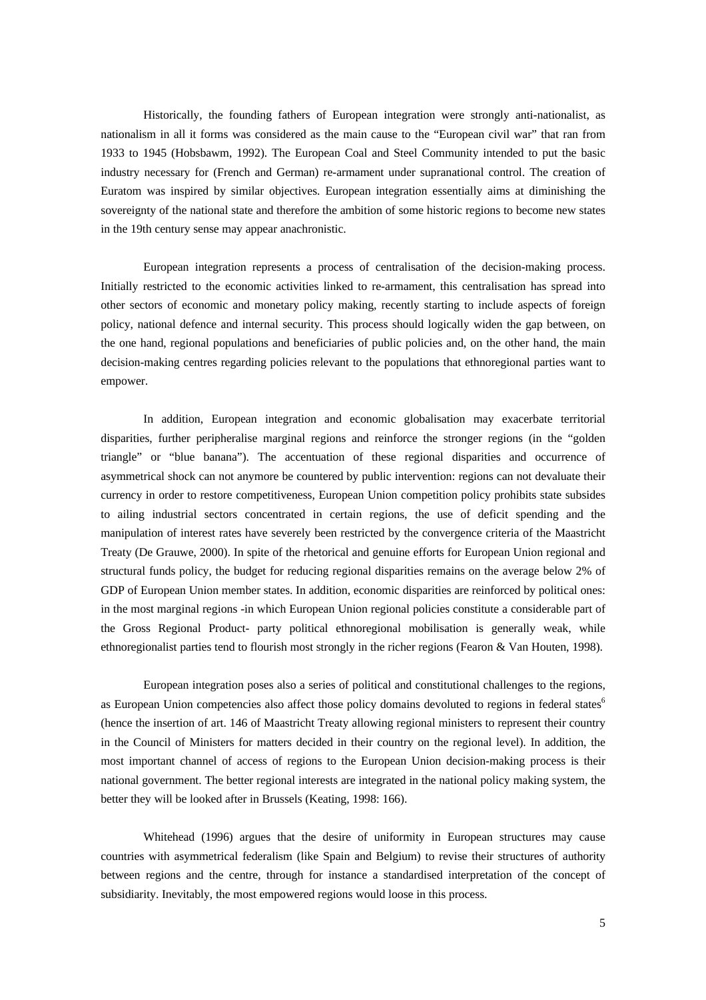Historically, the founding fathers of European integration were strongly anti-nationalist, as nationalism in all it forms was considered as the main cause to the "European civil war" that ran from 1933 to 1945 (Hobsbawm, 1992). The European Coal and Steel Community intended to put the basic industry necessary for (French and German) re-armament under supranational control. The creation of Euratom was inspired by similar objectives. European integration essentially aims at diminishing the sovereignty of the national state and therefore the ambition of some historic regions to become new states in the 19th century sense may appear anachronistic.

European integration represents a process of centralisation of the decision-making process. Initially restricted to the economic activities linked to re-armament, this centralisation has spread into other sectors of economic and monetary policy making, recently starting to include aspects of foreign policy, national defence and internal security. This process should logically widen the gap between, on the one hand, regional populations and beneficiaries of public policies and, on the other hand, the main decision-making centres regarding policies relevant to the populations that ethnoregional parties want to empower.

In addition, European integration and economic globalisation may exacerbate territorial disparities, further peripheralise marginal regions and reinforce the stronger regions (in the "golden triangle" or "blue banana"). The accentuation of these regional disparities and occurrence of asymmetrical shock can not anymore be countered by public intervention: regions can not devaluate their currency in order to restore competitiveness, European Union competition policy prohibits state subsides to ailing industrial sectors concentrated in certain regions, the use of deficit spending and the manipulation of interest rates have severely been restricted by the convergence criteria of the Maastricht Treaty (De Grauwe, 2000). In spite of the rhetorical and genuine efforts for European Union regional and structural funds policy, the budget for reducing regional disparities remains on the average below 2% of GDP of European Union member states. In addition, economic disparities are reinforced by political ones: in the most marginal regions -in which European Union regional policies constitute a considerable part of the Gross Regional Product- party political ethnoregional mobilisation is generally weak, while ethnoregionalist parties tend to flourish most strongly in the richer regions (Fearon & Van Houten, 1998).

European integration poses also a series of political and constitutional challenges to the regions, as European Union competencies also affect those policy domains devoluted to regions in federal states<sup>6</sup> (hence the insertion of art. 146 of Maastricht Treaty allowing regional ministers to represent their country in the Council of Ministers for matters decided in their country on the regional level). In addition, the most important channel of access of regions to the European Union decision-making process is their national government. The better regional interests are integrated in the national policy making system, the better they will be looked after in Brussels (Keating, 1998: 166).

Whitehead (1996) argues that the desire of uniformity in European structures may cause countries with asymmetrical federalism (like Spain and Belgium) to revise their structures of authority between regions and the centre, through for instance a standardised interpretation of the concept of subsidiarity. Inevitably, the most empowered regions would loose in this process.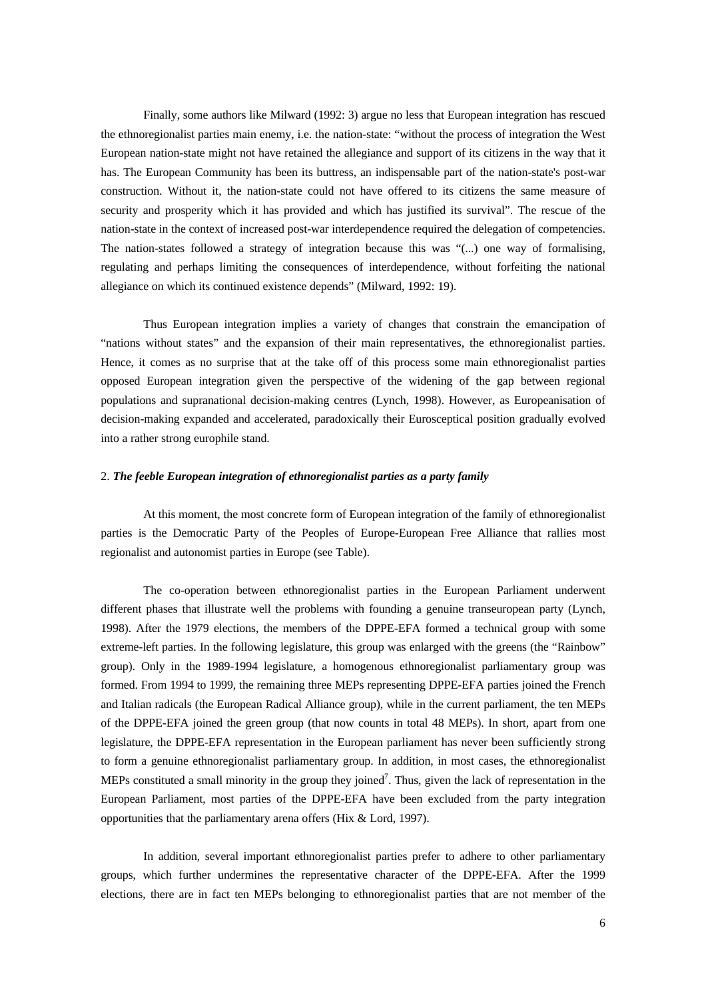Finally, some authors like Milward (1992: 3) argue no less that European integration has rescued the ethnoregionalist parties main enemy, i.e. the nation-state: "without the process of integration the West European nation-state might not have retained the allegiance and support of its citizens in the way that it has. The European Community has been its buttress, an indispensable part of the nation-state's post-war construction. Without it, the nation-state could not have offered to its citizens the same measure of security and prosperity which it has provided and which has justified its survival". The rescue of the nation-state in the context of increased post-war interdependence required the delegation of competencies. The nation-states followed a strategy of integration because this was "(...) one way of formalising, regulating and perhaps limiting the consequences of interdependence, without forfeiting the national allegiance on which its continued existence depends" (Milward, 1992: 19).

Thus European integration implies a variety of changes that constrain the emancipation of "nations without states" and the expansion of their main representatives, the ethnoregionalist parties. Hence, it comes as no surprise that at the take off of this process some main ethnoregionalist parties opposed European integration given the perspective of the widening of the gap between regional populations and supranational decision-making centres (Lynch, 1998). However, as Europeanisation of decision-making expanded and accelerated, paradoxically their Eurosceptical position gradually evolved into a rather strong europhile stand.

## 2. *The feeble European integration of ethnoregionalist parties as a party family*

At this moment, the most concrete form of European integration of the family of ethnoregionalist parties is the Democratic Party of the Peoples of Europe-European Free Alliance that rallies most regionalist and autonomist parties in Europe (see Table).

The co-operation between ethnoregionalist parties in the European Parliament underwent different phases that illustrate well the problems with founding a genuine transeuropean party (Lynch, 1998). After the 1979 elections, the members of the DPPE-EFA formed a technical group with some extreme-left parties. In the following legislature, this group was enlarged with the greens (the "Rainbow" group). Only in the 1989-1994 legislature, a homogenous ethnoregionalist parliamentary group was formed. From 1994 to 1999, the remaining three MEPs representing DPPE-EFA parties joined the French and Italian radicals (the European Radical Alliance group), while in the current parliament, the ten MEPs of the DPPE-EFA joined the green group (that now counts in total 48 MEPs). In short, apart from one legislature, the DPPE-EFA representation in the European parliament has never been sufficiently strong to form a genuine ethnoregionalist parliamentary group. In addition, in most cases, the ethnoregionalist MEPs constituted a small minority in the group they joined<sup>7</sup>. Thus, given the lack of representation in the European Parliament, most parties of the DPPE-EFA have been excluded from the party integration opportunities that the parliamentary arena offers (Hix & Lord, 1997).

In addition, several important ethnoregionalist parties prefer to adhere to other parliamentary groups, which further undermines the representative character of the DPPE-EFA. After the 1999 elections, there are in fact ten MEPs belonging to ethnoregionalist parties that are not member of the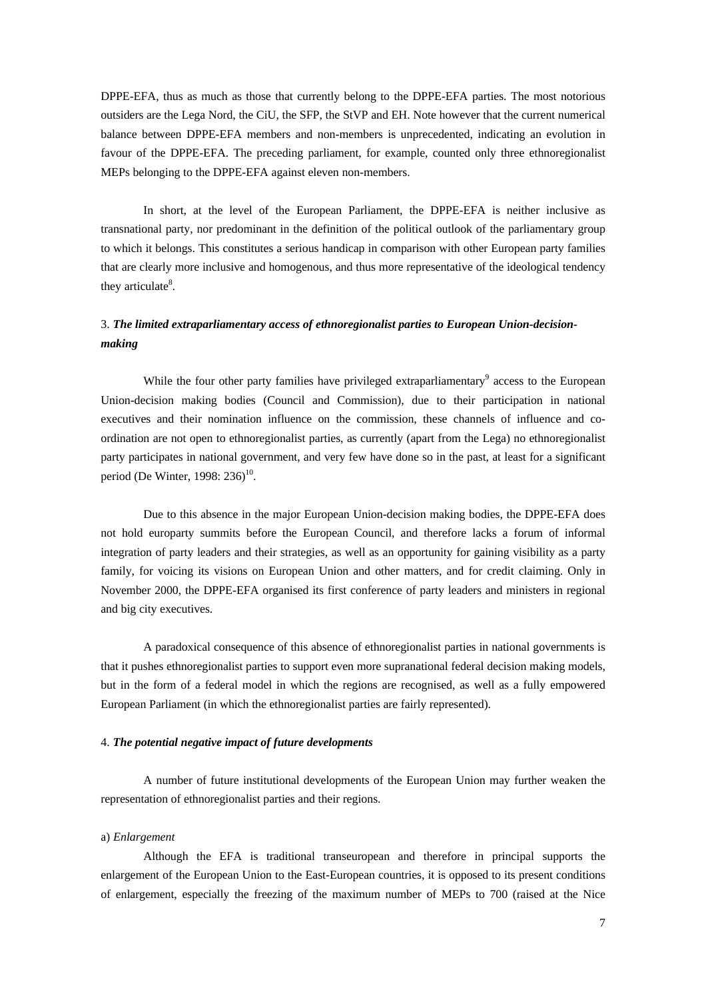DPPE-EFA, thus as much as those that currently belong to the DPPE-EFA parties. The most notorious outsiders are the Lega Nord, the CiU, the SFP, the StVP and EH. Note however that the current numerical balance between DPPE-EFA members and non-members is unprecedented, indicating an evolution in favour of the DPPE-EFA. The preceding parliament, for example, counted only three ethnoregionalist MEPs belonging to the DPPE-EFA against eleven non-members.

In short, at the level of the European Parliament, the DPPE-EFA is neither inclusive as transnational party, nor predominant in the definition of the political outlook of the parliamentary group to which it belongs. This constitutes a serious handicap in comparison with other European party families that are clearly more inclusive and homogenous, and thus more representative of the ideological tendency they articulate<sup>8</sup>.

## 3. *The limited extraparliamentary access of ethnoregionalist parties to European Union-decisionmaking*

While the four other party families have privileged extraparliamentary<sup>9</sup> access to the European Union-decision making bodies (Council and Commission), due to their participation in national executives and their nomination influence on the commission, these channels of influence and coordination are not open to ethnoregionalist parties, as currently (apart from the Lega) no ethnoregionalist party participates in national government, and very few have done so in the past, at least for a significant period (De Winter, 1998: 236)<sup>10</sup>.

Due to this absence in the major European Union-decision making bodies, the DPPE-EFA does not hold europarty summits before the European Council, and therefore lacks a forum of informal integration of party leaders and their strategies, as well as an opportunity for gaining visibility as a party family, for voicing its visions on European Union and other matters, and for credit claiming. Only in November 2000, the DPPE-EFA organised its first conference of party leaders and ministers in regional and big city executives.

A paradoxical consequence of this absence of ethnoregionalist parties in national governments is that it pushes ethnoregionalist parties to support even more supranational federal decision making models, but in the form of a federal model in which the regions are recognised, as well as a fully empowered European Parliament (in which the ethnoregionalist parties are fairly represented).

#### 4. *The potential negative impact of future developments*

A number of future institutional developments of the European Union may further weaken the representation of ethnoregionalist parties and their regions.

#### a) *Enlargement*

Although the EFA is traditional transeuropean and therefore in principal supports the enlargement of the European Union to the East-European countries, it is opposed to its present conditions of enlargement, especially the freezing of the maximum number of MEPs to 700 (raised at the Nice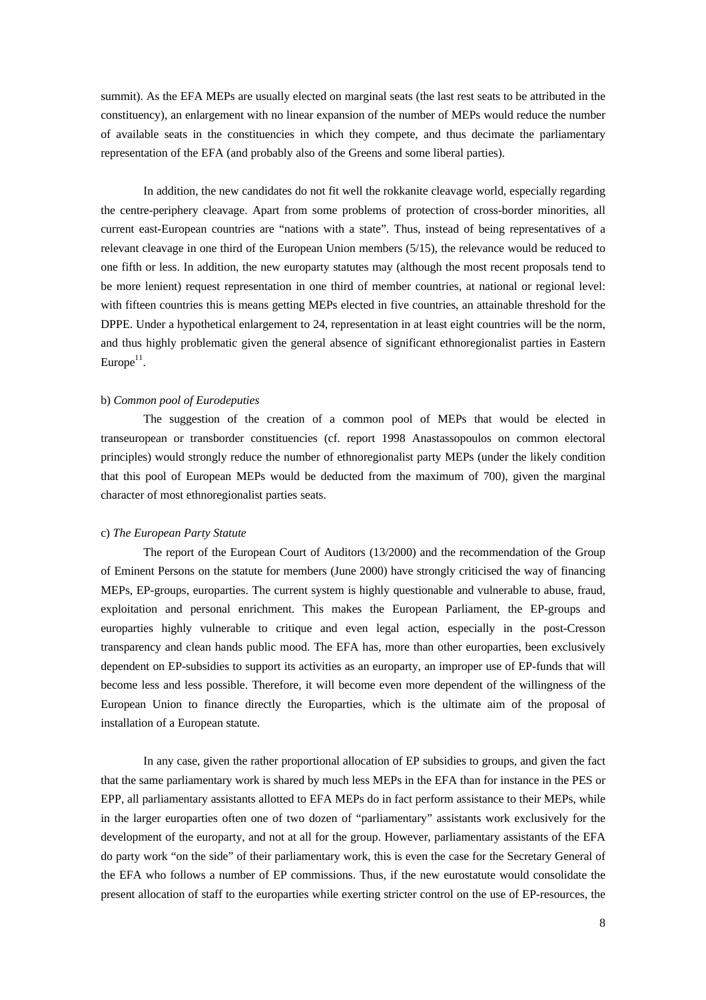summit). As the EFA MEPs are usually elected on marginal seats (the last rest seats to be attributed in the constituency), an enlargement with no linear expansion of the number of MEPs would reduce the number of available seats in the constituencies in which they compete, and thus decimate the parliamentary representation of the EFA (and probably also of the Greens and some liberal parties).

In addition, the new candidates do not fit well the rokkanite cleavage world, especially regarding the centre-periphery cleavage. Apart from some problems of protection of cross-border minorities, all current east-European countries are "nations with a state". Thus, instead of being representatives of a relevant cleavage in one third of the European Union members (5/15), the relevance would be reduced to one fifth or less. In addition, the new europarty statutes may (although the most recent proposals tend to be more lenient) request representation in one third of member countries, at national or regional level: with fifteen countries this is means getting MEPs elected in five countries, an attainable threshold for the DPPE. Under a hypothetical enlargement to 24, representation in at least eight countries will be the norm, and thus highly problematic given the general absence of significant ethnoregionalist parties in Eastern Europe $^{11}$ .

## b) *Common pool of Eurodeputies*

The suggestion of the creation of a common pool of MEPs that would be elected in transeuropean or transborder constituencies (cf. report 1998 Anastassopoulos on common electoral principles) would strongly reduce the number of ethnoregionalist party MEPs (under the likely condition that this pool of European MEPs would be deducted from the maximum of 700), given the marginal character of most ethnoregionalist parties seats.

#### c) *The European Party Statute*

The report of the European Court of Auditors (13/2000) and the recommendation of the Group of Eminent Persons on the statute for members (June 2000) have strongly criticised the way of financing MEPs, EP-groups, europarties. The current system is highly questionable and vulnerable to abuse, fraud, exploitation and personal enrichment. This makes the European Parliament, the EP-groups and europarties highly vulnerable to critique and even legal action, especially in the post-Cresson transparency and clean hands public mood. The EFA has, more than other europarties, been exclusively dependent on EP-subsidies to support its activities as an europarty, an improper use of EP-funds that will become less and less possible. Therefore, it will become even more dependent of the willingness of the European Union to finance directly the Europarties, which is the ultimate aim of the proposal of installation of a European statute.

In any case, given the rather proportional allocation of EP subsidies to groups, and given the fact that the same parliamentary work is shared by much less MEPs in the EFA than for instance in the PES or EPP, all parliamentary assistants allotted to EFA MEPs do in fact perform assistance to their MEPs, while in the larger europarties often one of two dozen of "parliamentary" assistants work exclusively for the development of the europarty, and not at all for the group. However, parliamentary assistants of the EFA do party work "on the side" of their parliamentary work, this is even the case for the Secretary General of the EFA who follows a number of EP commissions. Thus, if the new eurostatute would consolidate the present allocation of staff to the europarties while exerting stricter control on the use of EP-resources, the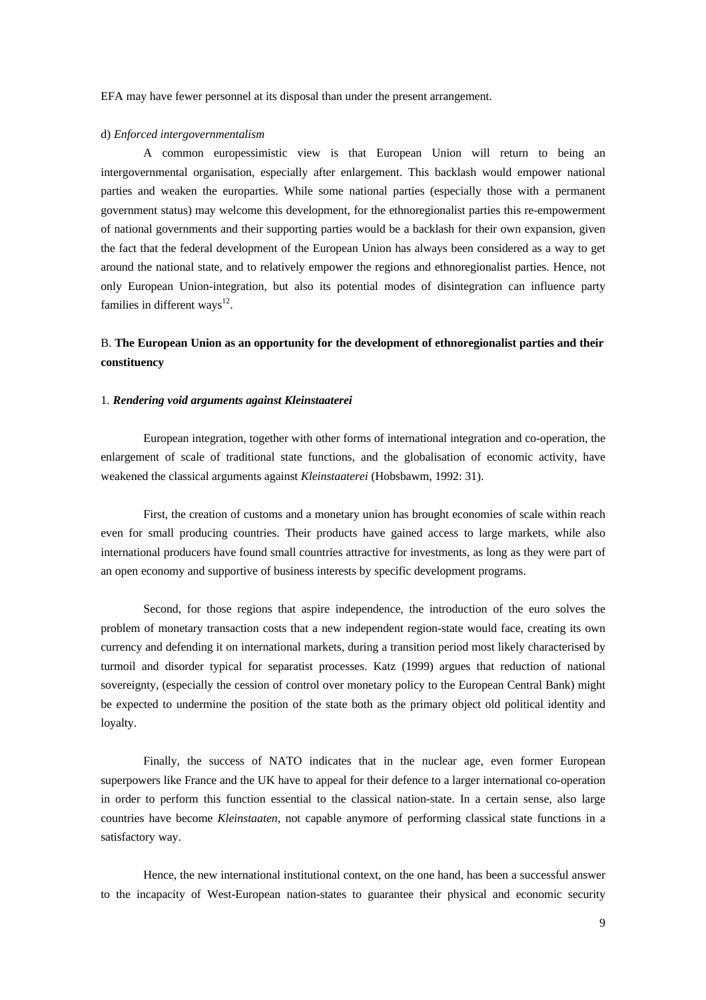EFA may have fewer personnel at its disposal than under the present arrangement.

#### d) *Enforced intergovernmentalism*

A common europessimistic view is that European Union will return to being an intergovernmental organisation, especially after enlargement. This backlash would empower national parties and weaken the europarties. While some national parties (especially those with a permanent government status) may welcome this development, for the ethnoregionalist parties this re-empowerment of national governments and their supporting parties would be a backlash for their own expansion, given the fact that the federal development of the European Union has always been considered as a way to get around the national state, and to relatively empower the regions and ethnoregionalist parties. Hence, not only European Union-integration, but also its potential modes of disintegration can influence party families in different ways<sup>12</sup>.

## B. **The European Union as an opportunity for the development of ethnoregionalist parties and their constituency**

## 1. *Rendering void arguments against Kleinstaaterei*

European integration, together with other forms of international integration and co-operation, the enlargement of scale of traditional state functions, and the globalisation of economic activity, have weakened the classical arguments against *Kleinstaaterei* (Hobsbawm, 1992: 31).

First, the creation of customs and a monetary union has brought economies of scale within reach even for small producing countries. Their products have gained access to large markets, while also international producers have found small countries attractive for investments, as long as they were part of an open economy and supportive of business interests by specific development programs.

Second, for those regions that aspire independence, the introduction of the euro solves the problem of monetary transaction costs that a new independent region-state would face, creating its own currency and defending it on international markets, during a transition period most likely characterised by turmoil and disorder typical for separatist processes. Katz (1999) argues that reduction of national sovereignty, (especially the cession of control over monetary policy to the European Central Bank) might be expected to undermine the position of the state both as the primary object old political identity and loyalty.

Finally, the success of NATO indicates that in the nuclear age, even former European superpowers like France and the UK have to appeal for their defence to a larger international co-operation in order to perform this function essential to the classical nation-state. In a certain sense, also large countries have become *Kleinstaaten*, not capable anymore of performing classical state functions in a satisfactory way.

Hence, the new international institutional context, on the one hand, has been a successful answer to the incapacity of West-European nation-states to guarantee their physical and economic security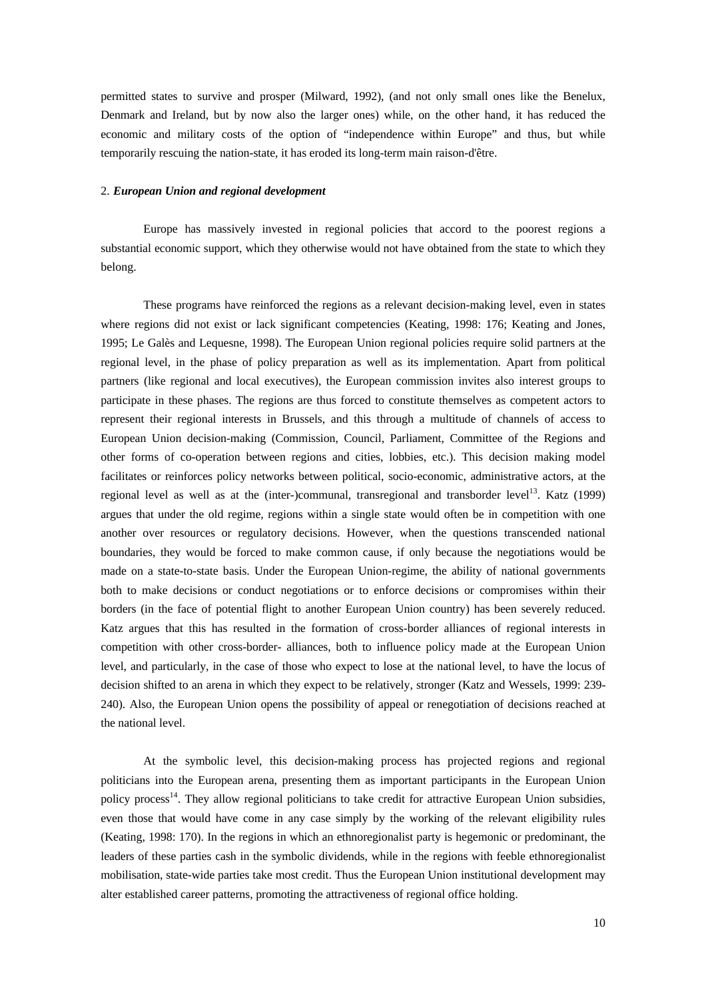permitted states to survive and prosper (Milward, 1992), (and not only small ones like the Benelux, Denmark and Ireland, but by now also the larger ones) while, on the other hand, it has reduced the economic and military costs of the option of "independence within Europe" and thus, but while temporarily rescuing the nation-state, it has eroded its long-term main raison-d'être.

## 2. *European Union and regional development*

Europe has massively invested in regional policies that accord to the poorest regions a substantial economic support, which they otherwise would not have obtained from the state to which they belong.

These programs have reinforced the regions as a relevant decision-making level, even in states where regions did not exist or lack significant competencies (Keating, 1998: 176; Keating and Jones, 1995; Le Galès and Lequesne, 1998). The European Union regional policies require solid partners at the regional level, in the phase of policy preparation as well as its implementation. Apart from political partners (like regional and local executives), the European commission invites also interest groups to participate in these phases. The regions are thus forced to constitute themselves as competent actors to represent their regional interests in Brussels, and this through a multitude of channels of access to European Union decision-making (Commission, Council, Parliament, Committee of the Regions and other forms of co-operation between regions and cities, lobbies, etc.). This decision making model facilitates or reinforces policy networks between political, socio-economic, administrative actors, at the regional level as well as at the (inter-)communal, transregional and transborder level<sup>13</sup>. Katz (1999) argues that under the old regime, regions within a single state would often be in competition with one another over resources or regulatory decisions. However, when the questions transcended national boundaries, they would be forced to make common cause, if only because the negotiations would be made on a state-to-state basis. Under the European Union-regime, the ability of national governments both to make decisions or conduct negotiations or to enforce decisions or compromises within their borders (in the face of potential flight to another European Union country) has been severely reduced. Katz argues that this has resulted in the formation of cross-border alliances of regional interests in competition with other cross-border- alliances, both to influence policy made at the European Union level, and particularly, in the case of those who expect to lose at the national level, to have the locus of decision shifted to an arena in which they expect to be relatively, stronger (Katz and Wessels, 1999: 239- 240). Also, the European Union opens the possibility of appeal or renegotiation of decisions reached at the national level.

At the symbolic level, this decision-making process has projected regions and regional politicians into the European arena, presenting them as important participants in the European Union policy process<sup>14</sup>. They allow regional politicians to take credit for attractive European Union subsidies, even those that would have come in any case simply by the working of the relevant eligibility rules (Keating, 1998: 170). In the regions in which an ethnoregionalist party is hegemonic or predominant, the leaders of these parties cash in the symbolic dividends, while in the regions with feeble ethnoregionalist mobilisation, state-wide parties take most credit. Thus the European Union institutional development may alter established career patterns, promoting the attractiveness of regional office holding.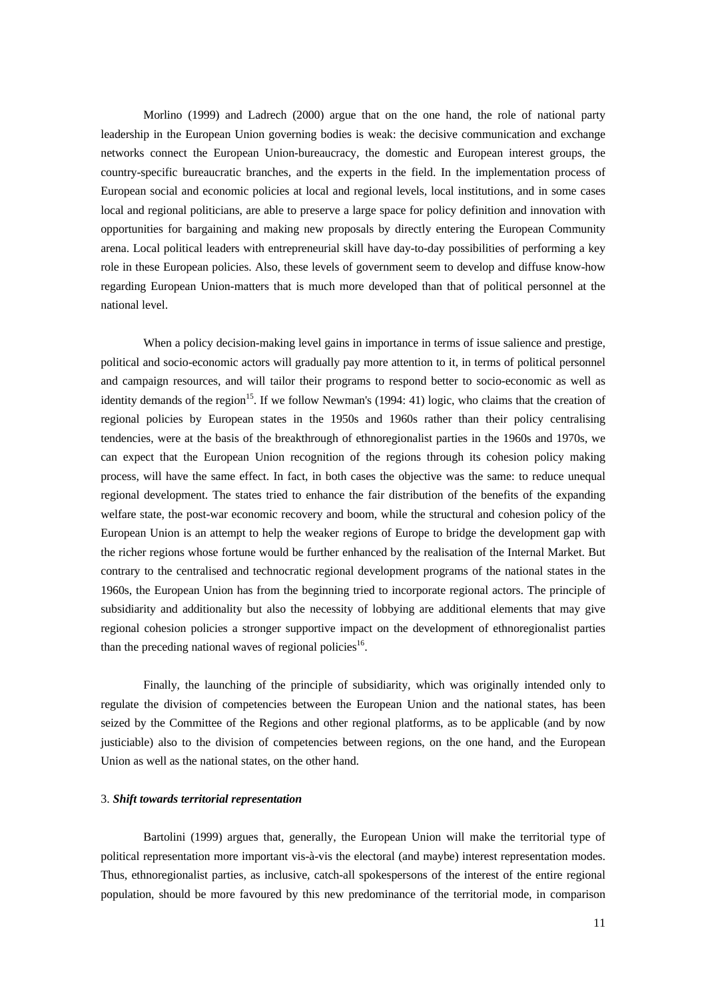Morlino (1999) and Ladrech (2000) argue that on the one hand, the role of national party leadership in the European Union governing bodies is weak: the decisive communication and exchange networks connect the European Union-bureaucracy, the domestic and European interest groups, the country-specific bureaucratic branches, and the experts in the field. In the implementation process of European social and economic policies at local and regional levels, local institutions, and in some cases local and regional politicians, are able to preserve a large space for policy definition and innovation with opportunities for bargaining and making new proposals by directly entering the European Community arena. Local political leaders with entrepreneurial skill have day-to-day possibilities of performing a key role in these European policies. Also, these levels of government seem to develop and diffuse know-how regarding European Union-matters that is much more developed than that of political personnel at the national level.

When a policy decision-making level gains in importance in terms of issue salience and prestige, political and socio-economic actors will gradually pay more attention to it, in terms of political personnel and campaign resources, and will tailor their programs to respond better to socio-economic as well as identity demands of the region<sup>15</sup>. If we follow Newman's (1994: 41) logic, who claims that the creation of regional policies by European states in the 1950s and 1960s rather than their policy centralising tendencies, were at the basis of the breakthrough of ethnoregionalist parties in the 1960s and 1970s, we can expect that the European Union recognition of the regions through its cohesion policy making process, will have the same effect. In fact, in both cases the objective was the same: to reduce unequal regional development. The states tried to enhance the fair distribution of the benefits of the expanding welfare state, the post-war economic recovery and boom, while the structural and cohesion policy of the European Union is an attempt to help the weaker regions of Europe to bridge the development gap with the richer regions whose fortune would be further enhanced by the realisation of the Internal Market. But contrary to the centralised and technocratic regional development programs of the national states in the 1960s, the European Union has from the beginning tried to incorporate regional actors. The principle of subsidiarity and additionality but also the necessity of lobbying are additional elements that may give regional cohesion policies a stronger supportive impact on the development of ethnoregionalist parties than the preceding national waves of regional policies<sup>16</sup>.

Finally, the launching of the principle of subsidiarity, which was originally intended only to regulate the division of competencies between the European Union and the national states, has been seized by the Committee of the Regions and other regional platforms, as to be applicable (and by now justiciable) also to the division of competencies between regions, on the one hand, and the European Union as well as the national states, on the other hand.

## 3. *Shift towards territorial representation*

Bartolini (1999) argues that, generally, the European Union will make the territorial type of political representation more important vis-à-vis the electoral (and maybe) interest representation modes. Thus, ethnoregionalist parties, as inclusive, catch-all spokespersons of the interest of the entire regional population, should be more favoured by this new predominance of the territorial mode, in comparison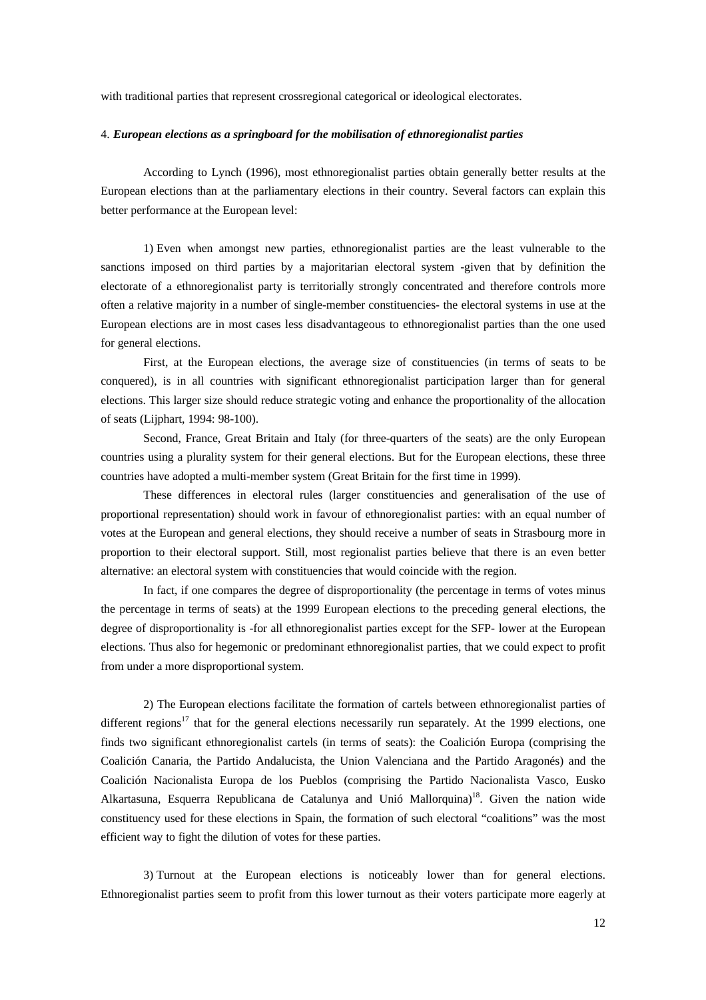with traditional parties that represent crossregional categorical or ideological electorates.

## 4. *European elections as a springboard for the mobilisation of ethnoregionalist parties*

According to Lynch (1996), most ethnoregionalist parties obtain generally better results at the European elections than at the parliamentary elections in their country. Several factors can explain this better performance at the European level:

1) Even when amongst new parties, ethnoregionalist parties are the least vulnerable to the sanctions imposed on third parties by a majoritarian electoral system -given that by definition the electorate of a ethnoregionalist party is territorially strongly concentrated and therefore controls more often a relative majority in a number of single-member constituencies- the electoral systems in use at the European elections are in most cases less disadvantageous to ethnoregionalist parties than the one used for general elections.

First, at the European elections, the average size of constituencies (in terms of seats to be conquered), is in all countries with significant ethnoregionalist participation larger than for general elections. This larger size should reduce strategic voting and enhance the proportionality of the allocation of seats (Lijphart, 1994: 98-100).

Second, France, Great Britain and Italy (for three-quarters of the seats) are the only European countries using a plurality system for their general elections. But for the European elections, these three countries have adopted a multi-member system (Great Britain for the first time in 1999).

These differences in electoral rules (larger constituencies and generalisation of the use of proportional representation) should work in favour of ethnoregionalist parties: with an equal number of votes at the European and general elections, they should receive a number of seats in Strasbourg more in proportion to their electoral support. Still, most regionalist parties believe that there is an even better alternative: an electoral system with constituencies that would coincide with the region.

In fact, if one compares the degree of disproportionality (the percentage in terms of votes minus the percentage in terms of seats) at the 1999 European elections to the preceding general elections, the degree of disproportionality is -for all ethnoregionalist parties except for the SFP- lower at the European elections. Thus also for hegemonic or predominant ethnoregionalist parties, that we could expect to profit from under a more disproportional system.

2) The European elections facilitate the formation of cartels between ethnoregionalist parties of different regions<sup>17</sup> that for the general elections necessarily run separately. At the 1999 elections, one finds two significant ethnoregionalist cartels (in terms of seats): the Coalición Europa (comprising the Coalición Canaria, the Partido Andalucista, the Union Valenciana and the Partido Aragonés) and the Coalición Nacionalista Europa de los Pueblos (comprising the Partido Nacionalista Vasco, Eusko Alkartasuna, Esquerra Republicana de Catalunya and Unió Mallorquina)<sup>18</sup>. Given the nation wide constituency used for these elections in Spain, the formation of such electoral "coalitions" was the most efficient way to fight the dilution of votes for these parties.

3) Turnout at the European elections is noticeably lower than for general elections. Ethnoregionalist parties seem to profit from this lower turnout as their voters participate more eagerly at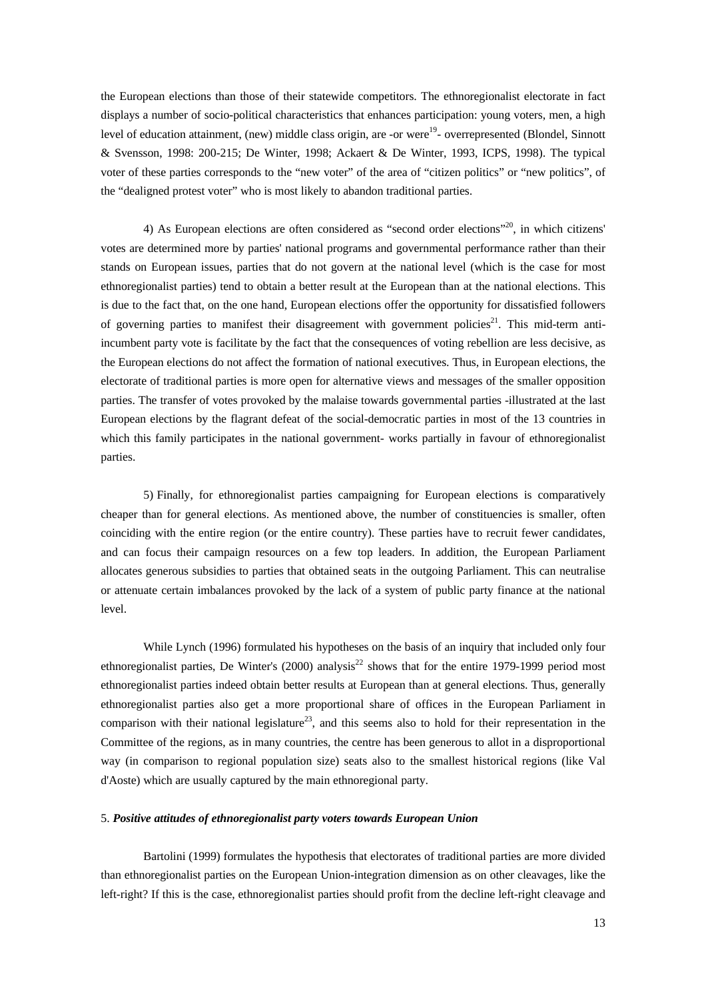the European elections than those of their statewide competitors. The ethnoregionalist electorate in fact displays a number of socio-political characteristics that enhances participation: young voters, men, a high level of education attainment, (new) middle class origin, are -or were<sup>19</sup>- overrepresented (Blondel, Sinnott & Svensson, 1998: 200-215; De Winter, 1998; Ackaert & De Winter, 1993, ICPS, 1998). The typical voter of these parties corresponds to the "new voter" of the area of "citizen politics" or "new politics", of the "dealigned protest voter" who is most likely to abandon traditional parties.

4) As European elections are often considered as "second order elections"<sup>20</sup>, in which citizens' votes are determined more by parties' national programs and governmental performance rather than their stands on European issues, parties that do not govern at the national level (which is the case for most ethnoregionalist parties) tend to obtain a better result at the European than at the national elections. This is due to the fact that, on the one hand, European elections offer the opportunity for dissatisfied followers of governing parties to manifest their disagreement with government policies<sup>21</sup>. This mid-term antiincumbent party vote is facilitate by the fact that the consequences of voting rebellion are less decisive, as the European elections do not affect the formation of national executives. Thus, in European elections, the electorate of traditional parties is more open for alternative views and messages of the smaller opposition parties. The transfer of votes provoked by the malaise towards governmental parties -illustrated at the last European elections by the flagrant defeat of the social-democratic parties in most of the 13 countries in which this family participates in the national government- works partially in favour of ethnoregionalist parties.

5) Finally, for ethnoregionalist parties campaigning for European elections is comparatively cheaper than for general elections. As mentioned above, the number of constituencies is smaller, often coinciding with the entire region (or the entire country). These parties have to recruit fewer candidates, and can focus their campaign resources on a few top leaders. In addition, the European Parliament allocates generous subsidies to parties that obtained seats in the outgoing Parliament. This can neutralise or attenuate certain imbalances provoked by the lack of a system of public party finance at the national level.

While Lynch (1996) formulated his hypotheses on the basis of an inquiry that included only four ethnoregionalist parties, De Winter's (2000) analysis<sup>22</sup> shows that for the entire 1979-1999 period most ethnoregionalist parties indeed obtain better results at European than at general elections. Thus, generally ethnoregionalist parties also get a more proportional share of offices in the European Parliament in comparison with their national legislature<sup>23</sup>, and this seems also to hold for their representation in the Committee of the regions, as in many countries, the centre has been generous to allot in a disproportional way (in comparison to regional population size) seats also to the smallest historical regions (like Val d'Aoste) which are usually captured by the main ethnoregional party.

### 5. *Positive attitudes of ethnoregionalist party voters towards European Union*

Bartolini (1999) formulates the hypothesis that electorates of traditional parties are more divided than ethnoregionalist parties on the European Union-integration dimension as on other cleavages, like the left-right? If this is the case, ethnoregionalist parties should profit from the decline left-right cleavage and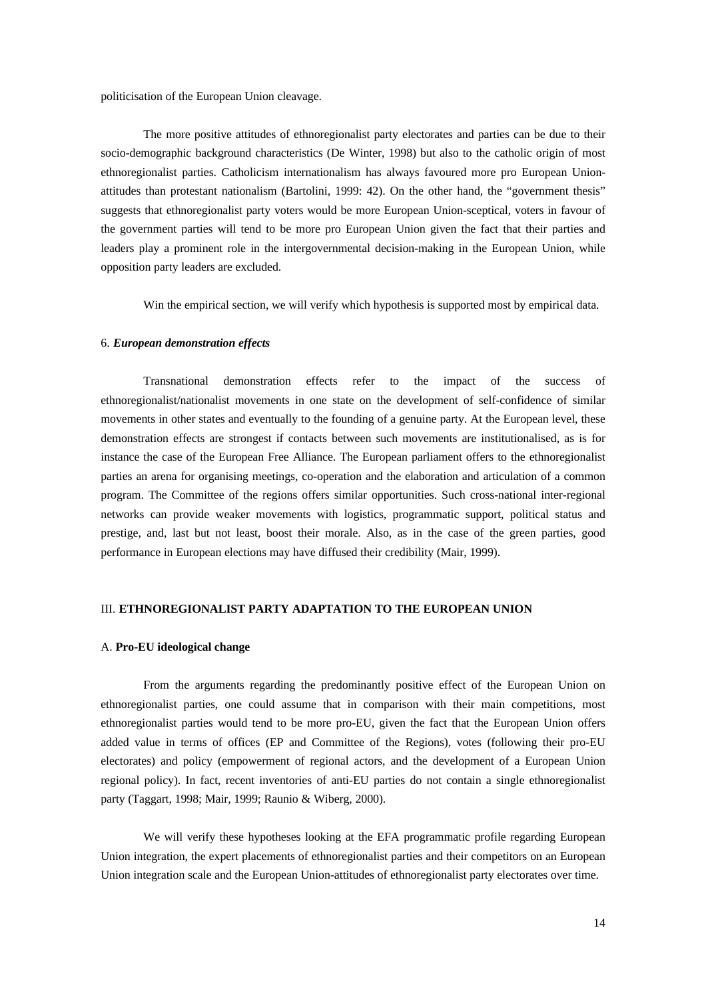politicisation of the European Union cleavage.

The more positive attitudes of ethnoregionalist party electorates and parties can be due to their socio-demographic background characteristics (De Winter, 1998) but also to the catholic origin of most ethnoregionalist parties. Catholicism internationalism has always favoured more pro European Unionattitudes than protestant nationalism (Bartolini, 1999: 42). On the other hand, the "government thesis" suggests that ethnoregionalist party voters would be more European Union-sceptical, voters in favour of the government parties will tend to be more pro European Union given the fact that their parties and leaders play a prominent role in the intergovernmental decision-making in the European Union, while opposition party leaders are excluded.

Win the empirical section, we will verify which hypothesis is supported most by empirical data.

### 6. *European demonstration effects*

Transnational demonstration effects refer to the impact of the success of ethnoregionalist/nationalist movements in one state on the development of self-confidence of similar movements in other states and eventually to the founding of a genuine party. At the European level, these demonstration effects are strongest if contacts between such movements are institutionalised, as is for instance the case of the European Free Alliance. The European parliament offers to the ethnoregionalist parties an arena for organising meetings, co-operation and the elaboration and articulation of a common program. The Committee of the regions offers similar opportunities. Such cross-national inter-regional networks can provide weaker movements with logistics, programmatic support, political status and prestige, and, last but not least, boost their morale. Also, as in the case of the green parties, good performance in European elections may have diffused their credibility (Mair, 1999).

#### III. **ETHNOREGIONALIST PARTY ADAPTATION TO THE EUROPEAN UNION**

## A. **Pro-EU ideological change**

From the arguments regarding the predominantly positive effect of the European Union on ethnoregionalist parties, one could assume that in comparison with their main competitions, most ethnoregionalist parties would tend to be more pro-EU, given the fact that the European Union offers added value in terms of offices (EP and Committee of the Regions), votes (following their pro-EU electorates) and policy (empowerment of regional actors, and the development of a European Union regional policy). In fact, recent inventories of anti-EU parties do not contain a single ethnoregionalist party (Taggart, 1998; Mair, 1999; Raunio & Wiberg, 2000).

We will verify these hypotheses looking at the EFA programmatic profile regarding European Union integration, the expert placements of ethnoregionalist parties and their competitors on an European Union integration scale and the European Union-attitudes of ethnoregionalist party electorates over time.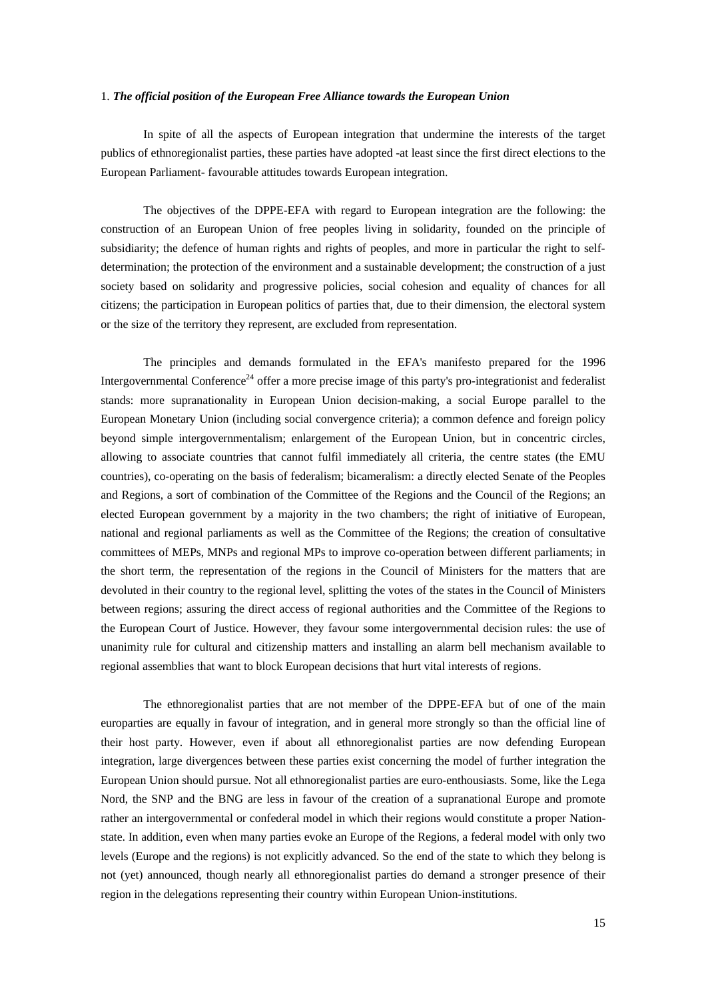#### 1. *The official position of the European Free Alliance towards the European Union*

In spite of all the aspects of European integration that undermine the interests of the target publics of ethnoregionalist parties, these parties have adopted -at least since the first direct elections to the European Parliament- favourable attitudes towards European integration.

The objectives of the DPPE-EFA with regard to European integration are the following: the construction of an European Union of free peoples living in solidarity, founded on the principle of subsidiarity; the defence of human rights and rights of peoples, and more in particular the right to selfdetermination; the protection of the environment and a sustainable development; the construction of a just society based on solidarity and progressive policies, social cohesion and equality of chances for all citizens; the participation in European politics of parties that, due to their dimension, the electoral system or the size of the territory they represent, are excluded from representation.

The principles and demands formulated in the EFA's manifesto prepared for the 1996 Intergovernmental Conference<sup>24</sup> offer a more precise image of this party's pro-integrationist and federalist stands: more supranationality in European Union decision-making, a social Europe parallel to the European Monetary Union (including social convergence criteria); a common defence and foreign policy beyond simple intergovernmentalism; enlargement of the European Union, but in concentric circles, allowing to associate countries that cannot fulfil immediately all criteria, the centre states (the EMU countries), co-operating on the basis of federalism; bicameralism: a directly elected Senate of the Peoples and Regions, a sort of combination of the Committee of the Regions and the Council of the Regions; an elected European government by a majority in the two chambers; the right of initiative of European, national and regional parliaments as well as the Committee of the Regions; the creation of consultative committees of MEPs, MNPs and regional MPs to improve co-operation between different parliaments; in the short term, the representation of the regions in the Council of Ministers for the matters that are devoluted in their country to the regional level, splitting the votes of the states in the Council of Ministers between regions; assuring the direct access of regional authorities and the Committee of the Regions to the European Court of Justice. However, they favour some intergovernmental decision rules: the use of unanimity rule for cultural and citizenship matters and installing an alarm bell mechanism available to regional assemblies that want to block European decisions that hurt vital interests of regions.

The ethnoregionalist parties that are not member of the DPPE-EFA but of one of the main europarties are equally in favour of integration, and in general more strongly so than the official line of their host party. However, even if about all ethnoregionalist parties are now defending European integration, large divergences between these parties exist concerning the model of further integration the European Union should pursue. Not all ethnoregionalist parties are euro-enthousiasts. Some, like the Lega Nord, the SNP and the BNG are less in favour of the creation of a supranational Europe and promote rather an intergovernmental or confederal model in which their regions would constitute a proper Nationstate. In addition, even when many parties evoke an Europe of the Regions, a federal model with only two levels (Europe and the regions) is not explicitly advanced. So the end of the state to which they belong is not (yet) announced, though nearly all ethnoregionalist parties do demand a stronger presence of their region in the delegations representing their country within European Union-institutions.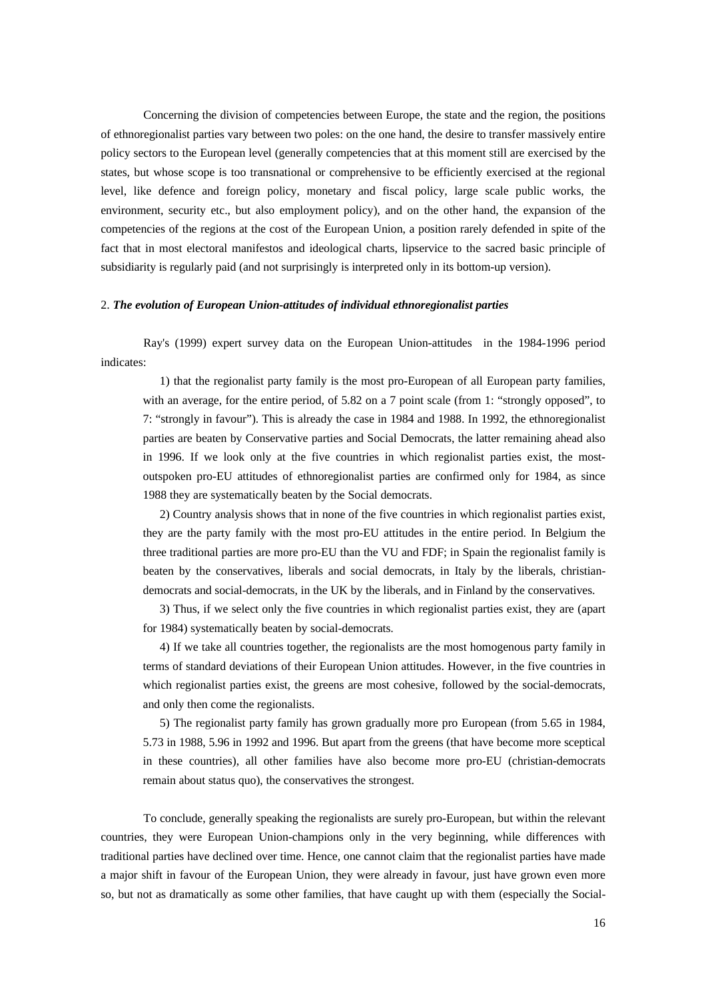Concerning the division of competencies between Europe, the state and the region, the positions of ethnoregionalist parties vary between two poles: on the one hand, the desire to transfer massively entire policy sectors to the European level (generally competencies that at this moment still are exercised by the states, but whose scope is too transnational or comprehensive to be efficiently exercised at the regional level, like defence and foreign policy, monetary and fiscal policy, large scale public works, the environment, security etc., but also employment policy), and on the other hand, the expansion of the competencies of the regions at the cost of the European Union, a position rarely defended in spite of the fact that in most electoral manifestos and ideological charts, lipservice to the sacred basic principle of subsidiarity is regularly paid (and not surprisingly is interpreted only in its bottom-up version).

#### 2. *The evolution of European Union-attitudes of individual ethnoregionalist parties*

Ray's (1999) expert survey data on the European Union-attitudes in the 1984-1996 period indicates:

1) that the regionalist party family is the most pro-European of all European party families, with an average, for the entire period, of 5.82 on a 7 point scale (from 1: "strongly opposed", to 7: "strongly in favour"). This is already the case in 1984 and 1988. In 1992, the ethnoregionalist parties are beaten by Conservative parties and Social Democrats, the latter remaining ahead also in 1996. If we look only at the five countries in which regionalist parties exist, the mostoutspoken pro-EU attitudes of ethnoregionalist parties are confirmed only for 1984, as since 1988 they are systematically beaten by the Social democrats.

2) Country analysis shows that in none of the five countries in which regionalist parties exist, they are the party family with the most pro-EU attitudes in the entire period. In Belgium the three traditional parties are more pro-EU than the VU and FDF; in Spain the regionalist family is beaten by the conservatives, liberals and social democrats, in Italy by the liberals, christiandemocrats and social-democrats, in the UK by the liberals, and in Finland by the conservatives.

3) Thus, if we select only the five countries in which regionalist parties exist, they are (apart for 1984) systematically beaten by social-democrats.

4) If we take all countries together, the regionalists are the most homogenous party family in terms of standard deviations of their European Union attitudes. However, in the five countries in which regionalist parties exist, the greens are most cohesive, followed by the social-democrats, and only then come the regionalists.

5) The regionalist party family has grown gradually more pro European (from 5.65 in 1984, 5.73 in 1988, 5.96 in 1992 and 1996. But apart from the greens (that have become more sceptical in these countries), all other families have also become more pro-EU (christian-democrats remain about status quo), the conservatives the strongest.

To conclude, generally speaking the regionalists are surely pro-European, but within the relevant countries, they were European Union-champions only in the very beginning, while differences with traditional parties have declined over time. Hence, one cannot claim that the regionalist parties have made a major shift in favour of the European Union, they were already in favour, just have grown even more so, but not as dramatically as some other families, that have caught up with them (especially the Social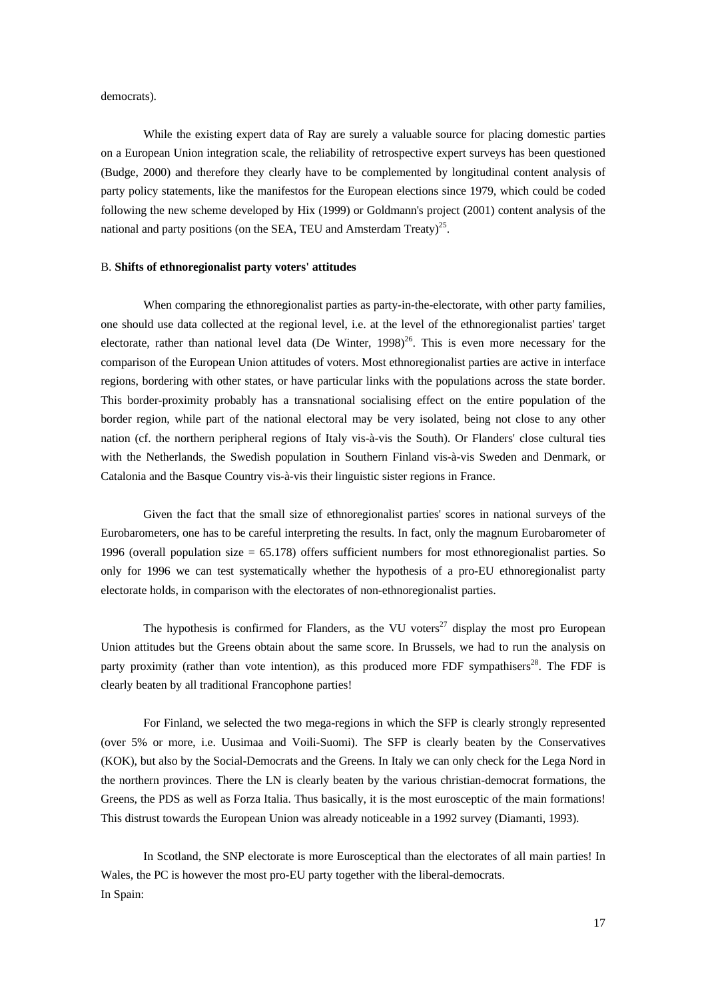democrats).

While the existing expert data of Ray are surely a valuable source for placing domestic parties on a European Union integration scale, the reliability of retrospective expert surveys has been questioned (Budge, 2000) and therefore they clearly have to be complemented by longitudinal content analysis of party policy statements, like the manifestos for the European elections since 1979, which could be coded following the new scheme developed by Hix (1999) or Goldmann's project (2001) content analysis of the national and party positions (on the SEA, TEU and Amsterdam Treaty) $^{25}$ .

## B. **Shifts of ethnoregionalist party voters' attitudes**

When comparing the ethnoregionalist parties as party-in-the-electorate, with other party families, one should use data collected at the regional level, i.e. at the level of the ethnoregionalist parties' target electorate, rather than national level data (De Winter,  $1998)^{26}$ . This is even more necessary for the comparison of the European Union attitudes of voters. Most ethnoregionalist parties are active in interface regions, bordering with other states, or have particular links with the populations across the state border. This border-proximity probably has a transnational socialising effect on the entire population of the border region, while part of the national electoral may be very isolated, being not close to any other nation (cf. the northern peripheral regions of Italy vis-à-vis the South). Or Flanders' close cultural ties with the Netherlands, the Swedish population in Southern Finland vis-à-vis Sweden and Denmark, or Catalonia and the Basque Country vis-à-vis their linguistic sister regions in France.

Given the fact that the small size of ethnoregionalist parties' scores in national surveys of the Eurobarometers, one has to be careful interpreting the results. In fact, only the magnum Eurobarometer of 1996 (overall population size = 65.178) offers sufficient numbers for most ethnoregionalist parties. So only for 1996 we can test systematically whether the hypothesis of a pro-EU ethnoregionalist party electorate holds, in comparison with the electorates of non-ethnoregionalist parties.

The hypothesis is confirmed for Flanders, as the VU voters<sup>27</sup> display the most pro European Union attitudes but the Greens obtain about the same score. In Brussels, we had to run the analysis on party proximity (rather than vote intention), as this produced more FDF sympathisers<sup>28</sup>. The FDF is clearly beaten by all traditional Francophone parties!

For Finland, we selected the two mega-regions in which the SFP is clearly strongly represented (over 5% or more, i.e. Uusimaa and Voili-Suomi). The SFP is clearly beaten by the Conservatives (KOK), but also by the Social-Democrats and the Greens. In Italy we can only check for the Lega Nord in the northern provinces. There the LN is clearly beaten by the various christian-democrat formations, the Greens, the PDS as well as Forza Italia. Thus basically, it is the most eurosceptic of the main formations! This distrust towards the European Union was already noticeable in a 1992 survey (Diamanti, 1993).

In Scotland, the SNP electorate is more Eurosceptical than the electorates of all main parties! In Wales, the PC is however the most pro-EU party together with the liberal-democrats. In Spain: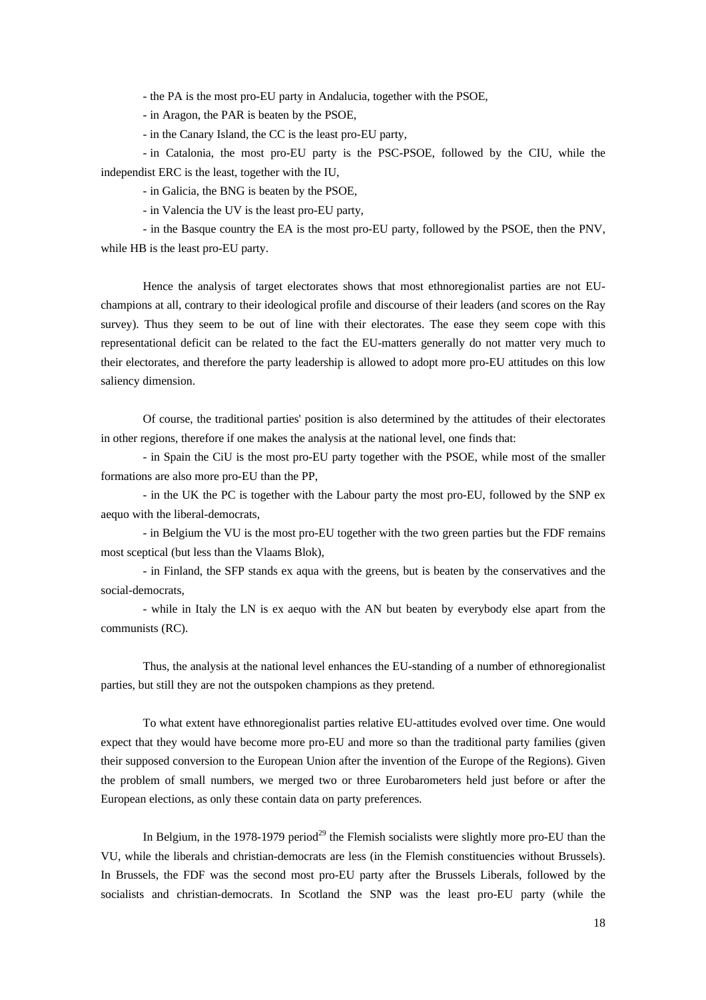- the PA is the most pro-EU party in Andalucia, together with the PSOE,

- in Aragon, the PAR is beaten by the PSOE,

- in the Canary Island, the CC is the least pro-EU party,

- in Catalonia, the most pro-EU party is the PSC-PSOE, followed by the CIU, while the independist ERC is the least, together with the IU,

- in Galicia, the BNG is beaten by the PSOE,

- in Valencia the UV is the least pro-EU party,

- in the Basque country the EA is the most pro-EU party, followed by the PSOE, then the PNV, while HB is the least pro-EU party.

Hence the analysis of target electorates shows that most ethnoregionalist parties are not EUchampions at all, contrary to their ideological profile and discourse of their leaders (and scores on the Ray survey). Thus they seem to be out of line with their electorates. The ease they seem cope with this representational deficit can be related to the fact the EU-matters generally do not matter very much to their electorates, and therefore the party leadership is allowed to adopt more pro-EU attitudes on this low saliency dimension.

Of course, the traditional parties' position is also determined by the attitudes of their electorates in other regions, therefore if one makes the analysis at the national level, one finds that:

- in Spain the CiU is the most pro-EU party together with the PSOE, while most of the smaller formations are also more pro-EU than the PP,

- in the UK the PC is together with the Labour party the most pro-EU, followed by the SNP ex aequo with the liberal-democrats,

- in Belgium the VU is the most pro-EU together with the two green parties but the FDF remains most sceptical (but less than the Vlaams Blok),

- in Finland, the SFP stands ex aqua with the greens, but is beaten by the conservatives and the social-democrats,

- while in Italy the LN is ex aequo with the AN but beaten by everybody else apart from the communists (RC).

Thus, the analysis at the national level enhances the EU-standing of a number of ethnoregionalist parties, but still they are not the outspoken champions as they pretend.

To what extent have ethnoregionalist parties relative EU-attitudes evolved over time. One would expect that they would have become more pro-EU and more so than the traditional party families (given their supposed conversion to the European Union after the invention of the Europe of the Regions). Given the problem of small numbers, we merged two or three Eurobarometers held just before or after the European elections, as only these contain data on party preferences.

In Belgium, in the 1978-1979 period<sup>29</sup> the Flemish socialists were slightly more pro-EU than the VU, while the liberals and christian-democrats are less (in the Flemish constituencies without Brussels). In Brussels, the FDF was the second most pro-EU party after the Brussels Liberals, followed by the socialists and christian-democrats. In Scotland the SNP was the least pro-EU party (while the

18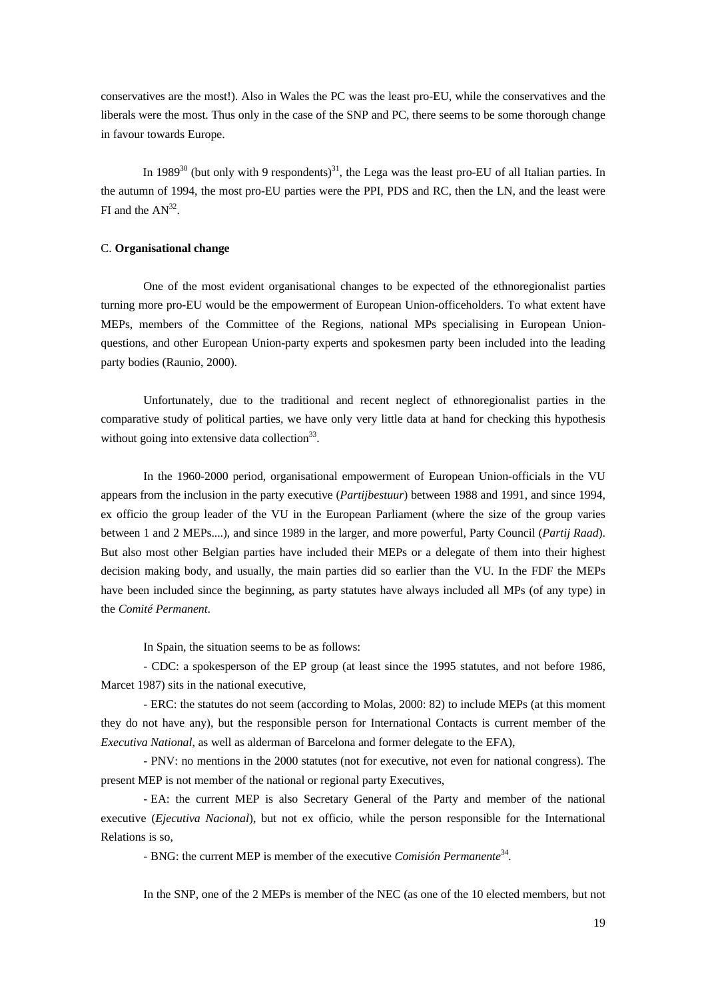conservatives are the most!). Also in Wales the PC was the least pro-EU, while the conservatives and the liberals were the most. Thus only in the case of the SNP and PC, there seems to be some thorough change in favour towards Europe.

In 1989<sup>30</sup> (but only with 9 respondents)<sup>31</sup>, the Lega was the least pro-EU of all Italian parties. In the autumn of 1994, the most pro-EU parties were the PPI, PDS and RC, then the LN, and the least were FI and the  $AN^{32}$ .

## C. **Organisational change**

One of the most evident organisational changes to be expected of the ethnoregionalist parties turning more pro-EU would be the empowerment of European Union-officeholders. To what extent have MEPs, members of the Committee of the Regions, national MPs specialising in European Unionquestions, and other European Union-party experts and spokesmen party been included into the leading party bodies (Raunio, 2000).

Unfortunately, due to the traditional and recent neglect of ethnoregionalist parties in the comparative study of political parties, we have only very little data at hand for checking this hypothesis without going into extensive data collection $33$ .

In the 1960-2000 period, organisational empowerment of European Union-officials in the VU appears from the inclusion in the party executive (*Partijbestuur*) between 1988 and 1991, and since 1994, ex officio the group leader of the VU in the European Parliament (where the size of the group varies between 1 and 2 MEPs....), and since 1989 in the larger, and more powerful, Party Council (*Partij Raad*). But also most other Belgian parties have included their MEPs or a delegate of them into their highest decision making body, and usually, the main parties did so earlier than the VU. In the FDF the MEPs have been included since the beginning, as party statutes have always included all MPs (of any type) in the *Comité Permanent*.

In Spain, the situation seems to be as follows:

- CDC: a spokesperson of the EP group (at least since the 1995 statutes, and not before 1986, Marcet 1987) sits in the national executive,

- ERC: the statutes do not seem (according to Molas, 2000: 82) to include MEPs (at this moment they do not have any), but the responsible person for International Contacts is current member of the *Executiva National*, as well as alderman of Barcelona and former delegate to the EFA),

- PNV: no mentions in the 2000 statutes (not for executive, not even for national congress). The present MEP is not member of the national or regional party Executives,

- EA: the current MEP is also Secretary General of the Party and member of the national executive (*Ejecutiva Nacional*), but not ex officio, while the person responsible for the International Relations is so,

- BNG: the current MEP is member of the executive *Comisión Permanente*<sup>34</sup>.

In the SNP, one of the 2 MEPs is member of the NEC (as one of the 10 elected members, but not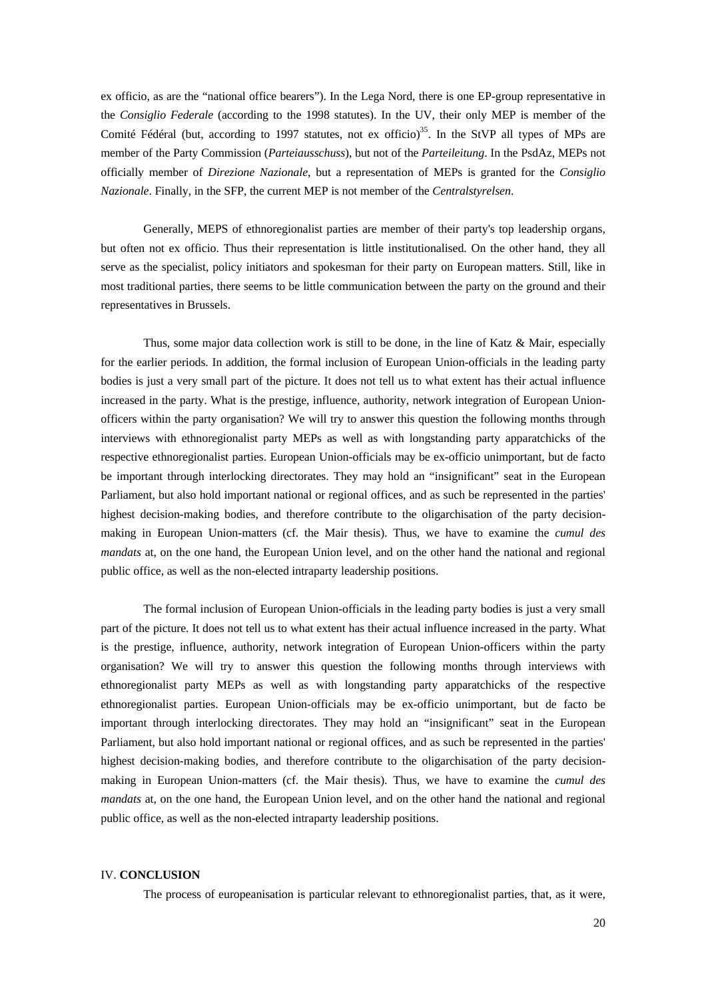ex officio, as are the "national office bearers"). In the Lega Nord, there is one EP-group representative in the *Consiglio Federale* (according to the 1998 statutes). In the UV, their only MEP is member of the Comité Fédéral (but, according to 1997 statutes, not ex officio)<sup>35</sup>. In the StVP all types of MPs are member of the Party Commission (*Parteiausschuss*), but not of the *Parteileitung*. In the PsdAz, MEPs not officially member of *Direzione Nazionale*, but a representation of MEPs is granted for the *Consiglio Nazionale*. Finally, in the SFP, the current MEP is not member of the *Centralstyrelsen*.

Generally, MEPS of ethnoregionalist parties are member of their party's top leadership organs, but often not ex officio. Thus their representation is little institutionalised. On the other hand, they all serve as the specialist, policy initiators and spokesman for their party on European matters. Still, like in most traditional parties, there seems to be little communication between the party on the ground and their representatives in Brussels.

Thus, some major data collection work is still to be done, in the line of Katz & Mair, especially for the earlier periods. In addition, the formal inclusion of European Union-officials in the leading party bodies is just a very small part of the picture. It does not tell us to what extent has their actual influence increased in the party. What is the prestige, influence, authority, network integration of European Unionofficers within the party organisation? We will try to answer this question the following months through interviews with ethnoregionalist party MEPs as well as with longstanding party apparatchicks of the respective ethnoregionalist parties. European Union-officials may be ex-officio unimportant, but de facto be important through interlocking directorates. They may hold an "insignificant" seat in the European Parliament, but also hold important national or regional offices, and as such be represented in the parties' highest decision-making bodies, and therefore contribute to the oligarchisation of the party decisionmaking in European Union-matters (cf. the Mair thesis). Thus, we have to examine the *cumul des mandats* at, on the one hand, the European Union level, and on the other hand the national and regional public office, as well as the non-elected intraparty leadership positions.

The formal inclusion of European Union-officials in the leading party bodies is just a very small part of the picture. It does not tell us to what extent has their actual influence increased in the party. What is the prestige, influence, authority, network integration of European Union-officers within the party organisation? We will try to answer this question the following months through interviews with ethnoregionalist party MEPs as well as with longstanding party apparatchicks of the respective ethnoregionalist parties. European Union-officials may be ex-officio unimportant, but de facto be important through interlocking directorates. They may hold an "insignificant" seat in the European Parliament, but also hold important national or regional offices, and as such be represented in the parties' highest decision-making bodies, and therefore contribute to the oligarchisation of the party decisionmaking in European Union-matters (cf. the Mair thesis). Thus, we have to examine the *cumul des mandats* at, on the one hand, the European Union level, and on the other hand the national and regional public office, as well as the non-elected intraparty leadership positions.

#### IV. **CONCLUSION**

The process of europeanisation is particular relevant to ethnoregionalist parties, that, as it were,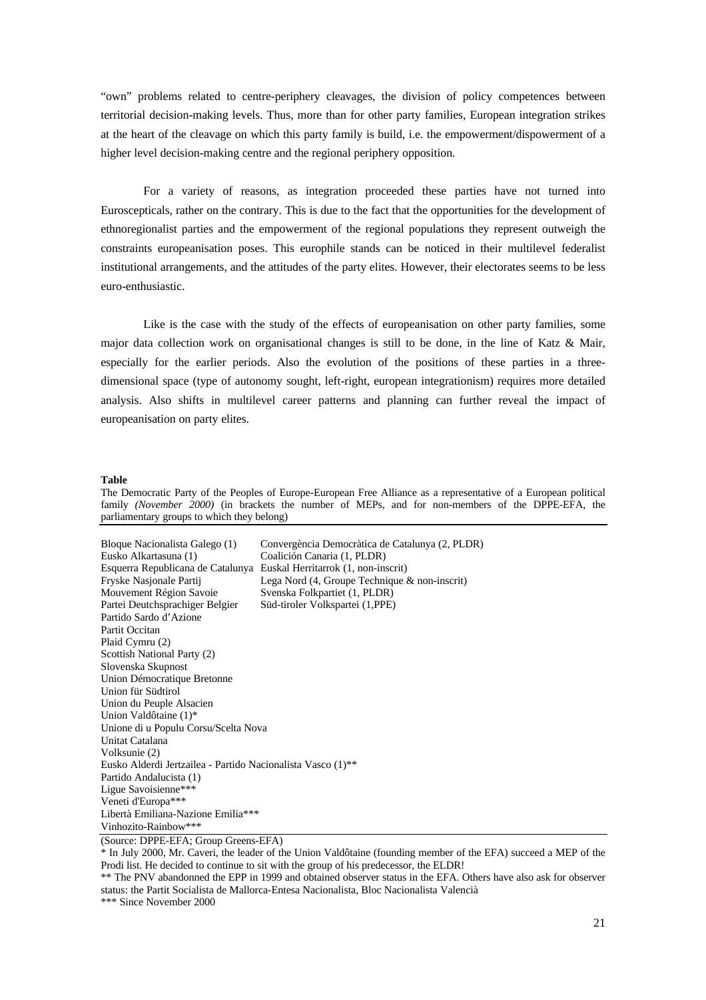"own" problems related to centre-periphery cleavages, the division of policy competences between territorial decision-making levels. Thus, more than for other party families, European integration strikes at the heart of the cleavage on which this party family is build, i.e. the empowerment/dispowerment of a higher level decision-making centre and the regional periphery opposition.

For a variety of reasons, as integration proceeded these parties have not turned into Euroscepticals, rather on the contrary. This is due to the fact that the opportunities for the development of ethnoregionalist parties and the empowerment of the regional populations they represent outweigh the constraints europeanisation poses. This europhile stands can be noticed in their multilevel federalist institutional arrangements, and the attitudes of the party elites. However, their electorates seems to be less euro-enthusiastic.

Like is the case with the study of the effects of europeanisation on other party families, some major data collection work on organisational changes is still to be done, in the line of Katz & Mair, especially for the earlier periods. Also the evolution of the positions of these parties in a threedimensional space (type of autonomy sought, left-right, european integrationism) requires more detailed analysis. Also shifts in multilevel career patterns and planning can further reveal the impact of europeanisation on party elites.

#### **Table**

The Democratic Party of the Peoples of Europe-European Free Alliance as a representative of a European political family *(November 2000)* (in brackets the number of MEPs, and for non-members of the DPPE-EFA, the parliamentary groups to which they belong)

| Bloque Nacionalista Galego (1)                                        | Convergència Democràtica de Catalunya (2, PLDR) |
|-----------------------------------------------------------------------|-------------------------------------------------|
| Eusko Alkartasuna (1)                                                 | Coalición Canaria (1, PLDR)                     |
| Esquerra Republicana de Catalunya Euskal Herritarrok (1, non-inscrit) |                                                 |
| Fryske Nasjonale Partij                                               | Lega Nord $(4, Groupe Technique & non-inscrit)$ |
| Mouvement Région Savoie                                               | Svenska Folkpartiet (1, PLDR)                   |
| Partei Deutchsprachiger Belgier                                       | Süd-tiroler Volkspartei (1,PPE)                 |
| Partido Sardo d'Azione                                                |                                                 |
| Partit Occitan                                                        |                                                 |
| Plaid Cymru (2)                                                       |                                                 |
| Scottish National Party (2)                                           |                                                 |
| Slovenska Skupnost                                                    |                                                 |
| Union Démocratique Bretonne                                           |                                                 |
| Union für Südtirol                                                    |                                                 |
| Union du Peuple Alsacien                                              |                                                 |
| Union Valdôtaine (1)*                                                 |                                                 |
| Unione di u Populu Corsu/Scelta Nova                                  |                                                 |
| Unitat Catalana                                                       |                                                 |
| Volksunie (2)                                                         |                                                 |
| Eusko Alderdi Jertzailea - Partido Nacionalista Vasco (1)**           |                                                 |
| Partido Andalucista (1)                                               |                                                 |
| Ligue Savoisienne***                                                  |                                                 |
| Veneti d'Europa***                                                    |                                                 |
| Libertà Emiliana-Nazione Emilia***                                    |                                                 |
| Vinhozito-Rainbow***                                                  |                                                 |

(Source: DPPE-EFA; Group Greens-EFA)

\* In July 2000, Mr. Caveri, the leader of the Union Valdôtaine (founding member of the EFA) succeed a MEP of the Prodi list. He decided to continue to sit with the group of his predecessor, the ELDR!

<sup>\*\*</sup> The PNV abandonned the EPP in 1999 and obtained observer status in the EFA. Others have also ask for observer status: the Partit Socialista de Mallorca-Entesa Nacionalista, Bloc Nacionalista Valencià

<sup>\*\*\*</sup> Since November 2000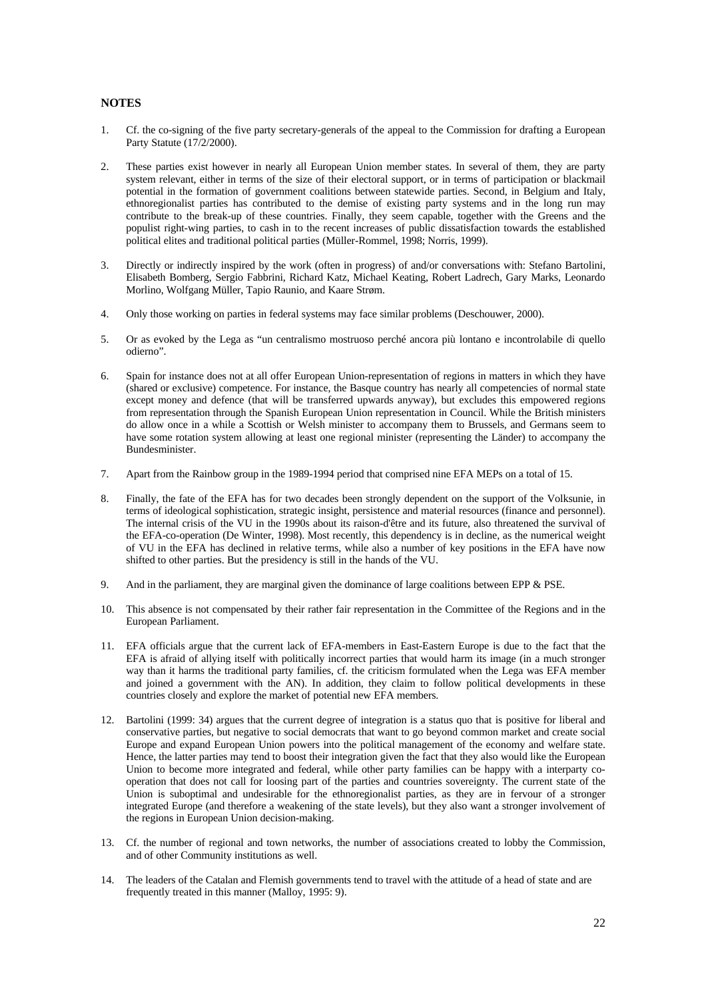### **NOTES**

- 1. Cf. the co-signing of the five party secretary-generals of the appeal to the Commission for drafting a European Party Statute (17/2/2000).
- 2. These parties exist however in nearly all European Union member states. In several of them, they are party system relevant, either in terms of the size of their electoral support, or in terms of participation or blackmail potential in the formation of government coalitions between statewide parties. Second, in Belgium and Italy, ethnoregionalist parties has contributed to the demise of existing party systems and in the long run may contribute to the break-up of these countries. Finally, they seem capable, together with the Greens and the populist right-wing parties, to cash in to the recent increases of public dissatisfaction towards the established political elites and traditional political parties (Müller-Rommel, 1998; Norris, 1999).
- 3. Directly or indirectly inspired by the work (often in progress) of and/or conversations with: Stefano Bartolini, Elisabeth Bomberg, Sergio Fabbrini, Richard Katz, Michael Keating, Robert Ladrech, Gary Marks, Leonardo Morlino, Wolfgang Müller, Tapio Raunio, and Kaare Strøm.
- 4. Only those working on parties in federal systems may face similar problems (Deschouwer, 2000).
- 5. Or as evoked by the Lega as "un centralismo mostruoso perché ancora più lontano e incontrolabile di quello odierno".
- 6. Spain for instance does not at all offer European Union-representation of regions in matters in which they have (shared or exclusive) competence. For instance, the Basque country has nearly all competencies of normal state except money and defence (that will be transferred upwards anyway), but excludes this empowered regions from representation through the Spanish European Union representation in Council. While the British ministers do allow once in a while a Scottish or Welsh minister to accompany them to Brussels, and Germans seem to have some rotation system allowing at least one regional minister (representing the Länder) to accompany the Bundesminister.
- 7. Apart from the Rainbow group in the 1989-1994 period that comprised nine EFA MEPs on a total of 15.
- 8. Finally, the fate of the EFA has for two decades been strongly dependent on the support of the Volksunie, in terms of ideological sophistication, strategic insight, persistence and material resources (finance and personnel). The internal crisis of the VU in the 1990s about its raison-d'être and its future, also threatened the survival of the EFA-co-operation (De Winter, 1998). Most recently, this dependency is in decline, as the numerical weight of VU in the EFA has declined in relative terms, while also a number of key positions in the EFA have now shifted to other parties. But the presidency is still in the hands of the VU.
- 9. And in the parliament, they are marginal given the dominance of large coalitions between EPP & PSE.
- 10. This absence is not compensated by their rather fair representation in the Committee of the Regions and in the European Parliament.
- 11. EFA officials argue that the current lack of EFA-members in East-Eastern Europe is due to the fact that the EFA is afraid of allying itself with politically incorrect parties that would harm its image (in a much stronger way than it harms the traditional party families, cf. the criticism formulated when the Lega was EFA member and joined a government with the AN). In addition, they claim to follow political developments in these countries closely and explore the market of potential new EFA members.
- 12. Bartolini (1999: 34) argues that the current degree of integration is a status quo that is positive for liberal and conservative parties, but negative to social democrats that want to go beyond common market and create social Europe and expand European Union powers into the political management of the economy and welfare state. Hence, the latter parties may tend to boost their integration given the fact that they also would like the European Union to become more integrated and federal, while other party families can be happy with a interparty cooperation that does not call for loosing part of the parties and countries sovereignty. The current state of the Union is suboptimal and undesirable for the ethnoregionalist parties, as they are in fervour of a stronger integrated Europe (and therefore a weakening of the state levels), but they also want a stronger involvement of the regions in European Union decision-making.
- 13. Cf. the number of regional and town networks, the number of associations created to lobby the Commission, and of other Community institutions as well.
- 14. The leaders of the Catalan and Flemish governments tend to travel with the attitude of a head of state and are frequently treated in this manner (Malloy, 1995: 9).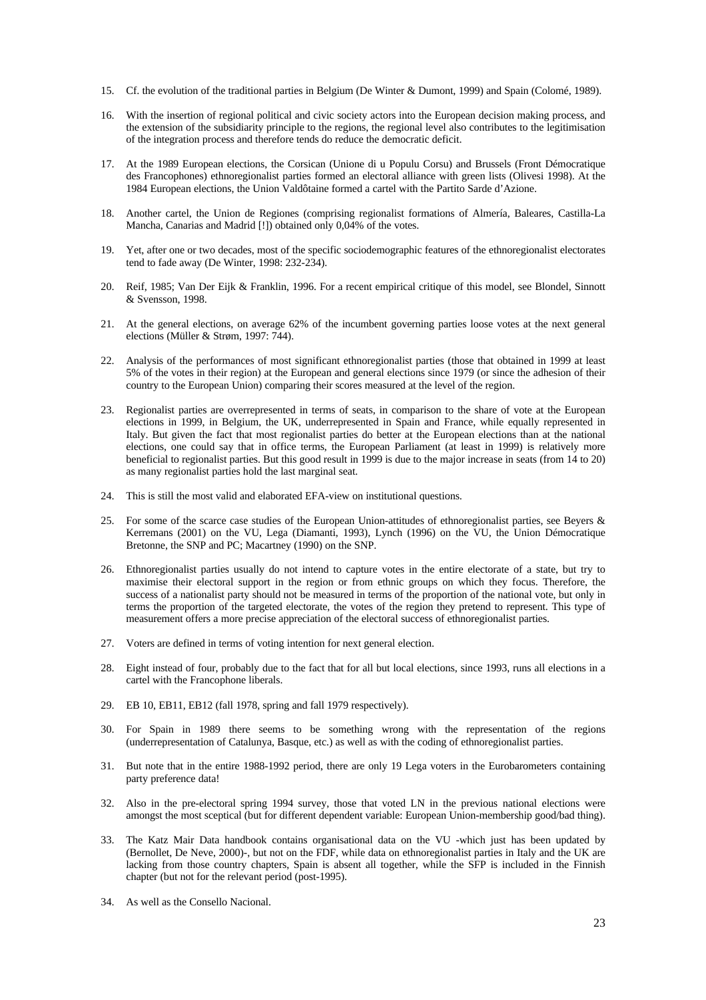- 15. Cf. the evolution of the traditional parties in Belgium (De Winter & Dumont, 1999) and Spain (Colomé, 1989).
- 16. With the insertion of regional political and civic society actors into the European decision making process, and the extension of the subsidiarity principle to the regions, the regional level also contributes to the legitimisation of the integration process and therefore tends do reduce the democratic deficit.
- 17. At the 1989 European elections, the Corsican (Unione di u Populu Corsu) and Brussels (Front Démocratique des Francophones) ethnoregionalist parties formed an electoral alliance with green lists (Olivesi 1998). At the 1984 European elections, the Union Valdôtaine formed a cartel with the Partito Sarde d'Azione.
- 18. Another cartel, the Union de Regiones (comprising regionalist formations of Almería, Baleares, Castilla-La Mancha, Canarias and Madrid [!]) obtained only 0,04% of the votes.
- 19. Yet, after one or two decades, most of the specific sociodemographic features of the ethnoregionalist electorates tend to fade away (De Winter, 1998: 232-234).
- 20. Reif, 1985; Van Der Eijk & Franklin, 1996. For a recent empirical critique of this model, see Blondel, Sinnott & Svensson, 1998.
- 21. At the general elections, on average 62% of the incumbent governing parties loose votes at the next general elections (Müller & Strøm, 1997: 744).
- 22. Analysis of the performances of most significant ethnoregionalist parties (those that obtained in 1999 at least 5% of the votes in their region) at the European and general elections since 1979 (or since the adhesion of their country to the European Union) comparing their scores measured at the level of the region.
- 23. Regionalist parties are overrepresented in terms of seats, in comparison to the share of vote at the European elections in 1999, in Belgium, the UK, underrepresented in Spain and France, while equally represented in Italy. But given the fact that most regionalist parties do better at the European elections than at the national elections, one could say that in office terms, the European Parliament (at least in 1999) is relatively more beneficial to regionalist parties. But this good result in 1999 is due to the major increase in seats (from 14 to 20) as many regionalist parties hold the last marginal seat.
- 24. This is still the most valid and elaborated EFA-view on institutional questions.
- 25. For some of the scarce case studies of the European Union-attitudes of ethnoregionalist parties, see Beyers & Kerremans (2001) on the VU, Lega (Diamanti, 1993), Lynch (1996) on the VU, the Union Démocratique Bretonne, the SNP and PC; Macartney (1990) on the SNP.
- 26. Ethnoregionalist parties usually do not intend to capture votes in the entire electorate of a state, but try to maximise their electoral support in the region or from ethnic groups on which they focus. Therefore, the success of a nationalist party should not be measured in terms of the proportion of the national vote, but only in terms the proportion of the targeted electorate, the votes of the region they pretend to represent. This type of measurement offers a more precise appreciation of the electoral success of ethnoregionalist parties.
- 27. Voters are defined in terms of voting intention for next general election.
- 28. Eight instead of four, probably due to the fact that for all but local elections, since 1993, runs all elections in a cartel with the Francophone liberals.
- 29. EB 10, EB11, EB12 (fall 1978, spring and fall 1979 respectively).
- 30. For Spain in 1989 there seems to be something wrong with the representation of the regions (underrepresentation of Catalunya, Basque, etc.) as well as with the coding of ethnoregionalist parties.
- 31. But note that in the entire 1988-1992 period, there are only 19 Lega voters in the Eurobarometers containing party preference data!
- 32. Also in the pre-electoral spring 1994 survey, those that voted LN in the previous national elections were amongst the most sceptical (but for different dependent variable: European Union-membership good/bad thing).
- 33. The Katz Mair Data handbook contains organisational data on the VU -which just has been updated by (Bernollet, De Neve, 2000)-, but not on the FDF, while data on ethnoregionalist parties in Italy and the UK are lacking from those country chapters, Spain is absent all together, while the SFP is included in the Finnish chapter (but not for the relevant period (post-1995).
- 34. As well as the Consello Nacional.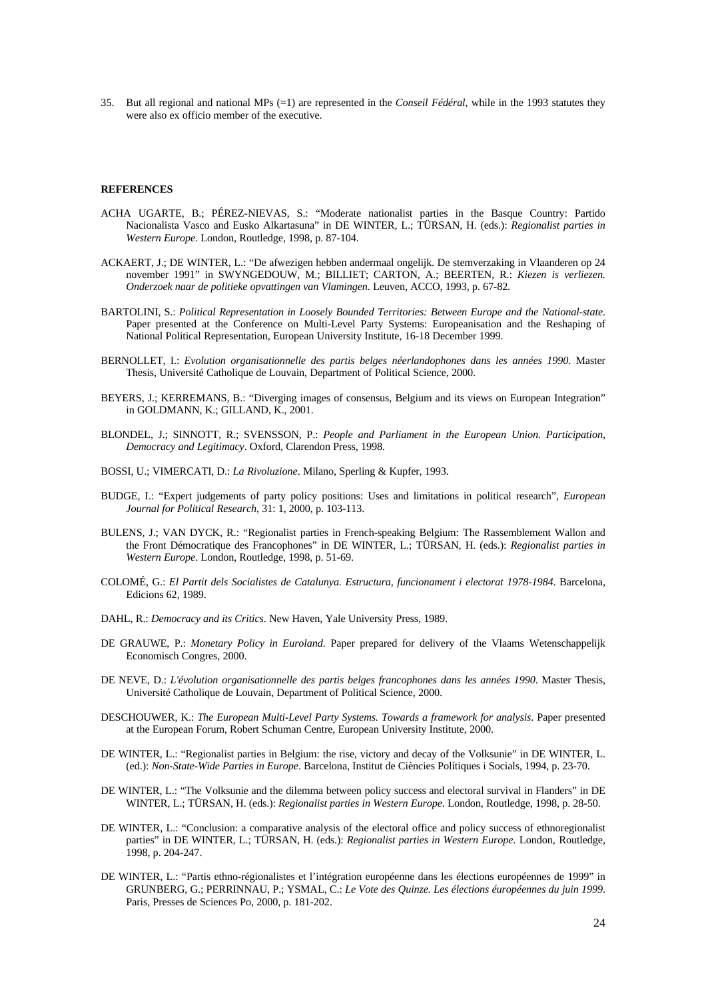35. But all regional and national MPs (=1) are represented in the *Conseil Fédéral*, while in the 1993 statutes they were also ex officio member of the executive.

#### **REFERENCES**

- ACHA UGARTE, B.; PÉREZ-NIEVAS, S.: "Moderate nationalist parties in the Basque Country: Partido Nacionalista Vasco and Eusko Alkartasuna" in DE WINTER, L.; TÜRSAN, H. (eds.): *Regionalist parties in Western Europe*. London, Routledge, 1998, p. 87-104.
- ACKAERT, J.; DE WINTER, L.: "De afwezigen hebben andermaal ongelijk. De stemverzaking in Vlaanderen op 24 november 1991" in SWYNGEDOUW, M.; BILLIET; CARTON, A.; BEERTEN, R.: *Kiezen is verliezen. Onderzoek naar de politieke opvattingen van Vlamingen*. Leuven, ACCO, 1993, p. 67-82.
- BARTOLINI, S.: *Political Representation in Loosely Bounded Territories: Between Europe and the National-state*. Paper presented at the Conference on Multi-Level Party Systems: Europeanisation and the Reshaping of National Political Representation, European University Institute, 16-18 December 1999.
- BERNOLLET, I.: *Evolution organisationnelle des partis belges néerlandophones dans les années 1990*. Master Thesis, Université Catholique de Louvain, Department of Political Science, 2000.
- BEYERS, J.; KERREMANS, B.: "Diverging images of consensus, Belgium and its views on European Integration" in GOLDMANN, K.; GILLAND, K., 2001.
- BLONDEL, J.; SINNOTT, R.; SVENSSON, P.: *People and Parliament in the European Union. Participation, Democracy and Legitimacy*. Oxford, Clarendon Press, 1998.
- BOSSI, U.; VIMERCATI, D.: *La Rivoluzione*. Milano, Sperling & Kupfer, 1993.
- BUDGE, I.: "Expert judgements of party policy positions: Uses and limitations in political research", *European Journal for Political Research*, 31: 1, 2000, p. 103-113.
- BULENS, J.; VAN DYCK, R.: "Regionalist parties in French-speaking Belgium: The Rassemblement Wallon and the Front Démocratique des Francophones" in DE WINTER, L.; TÜRSAN, H. (eds.): *Regionalist parties in Western Europe*. London, Routledge, 1998, p. 51-69.
- COLOMÉ, G.: *El Partit dels Socialistes de Catalunya. Estructura, funcionament i electorat 1978-1984*. Barcelona, Edicions 62, 1989.
- DAHL, R.: *Democracy and its Critics*. New Haven, Yale University Press, 1989.
- DE GRAUWE, P.: *Monetary Policy in Euroland*. Paper prepared for delivery of the Vlaams Wetenschappelijk Economisch Congres, 2000.
- DE NEVE, D.: *L'évolution organisationnelle des partis belges francophones dans les années 1990*. Master Thesis, Université Catholique de Louvain, Department of Political Science, 2000.
- DESCHOUWER, K.: *The European Multi-Level Party Systems. Towards a framework for analysis*. Paper presented at the European Forum, Robert Schuman Centre, European University Institute, 2000.
- DE WINTER, L.: "Regionalist parties in Belgium: the rise, victory and decay of the Volksunie" in DE WINTER, L. (ed.): *Non-State-Wide Parties in Europe*. Barcelona, Institut de Ciències Polítiques i Socials, 1994, p. 23-70.
- DE WINTER, L.: "The Volksunie and the dilemma between policy success and electoral survival in Flanders" in DE WINTER, L.; TÜRSAN, H. (eds.): *Regionalist parties in Western Europe*. London, Routledge, 1998, p. 28-50.
- DE WINTER, L.: "Conclusion: a comparative analysis of the electoral office and policy success of ethnoregionalist parties" in DE WINTER, L.; TÜRSAN, H. (eds.): *Regionalist parties in Western Europe*. London, Routledge, 1998, p. 204-247.
- DE WINTER, L.: "Partis ethno-régionalistes et l'intégration européenne dans les élections européennes de 1999" in GRUNBERG, G.; PERRINNAU, P.; YSMAL, C.: *Le Vote des Quinze. Les élections éuropéennes du juin 1999*. Paris, Presses de Sciences Po, 2000, p. 181-202.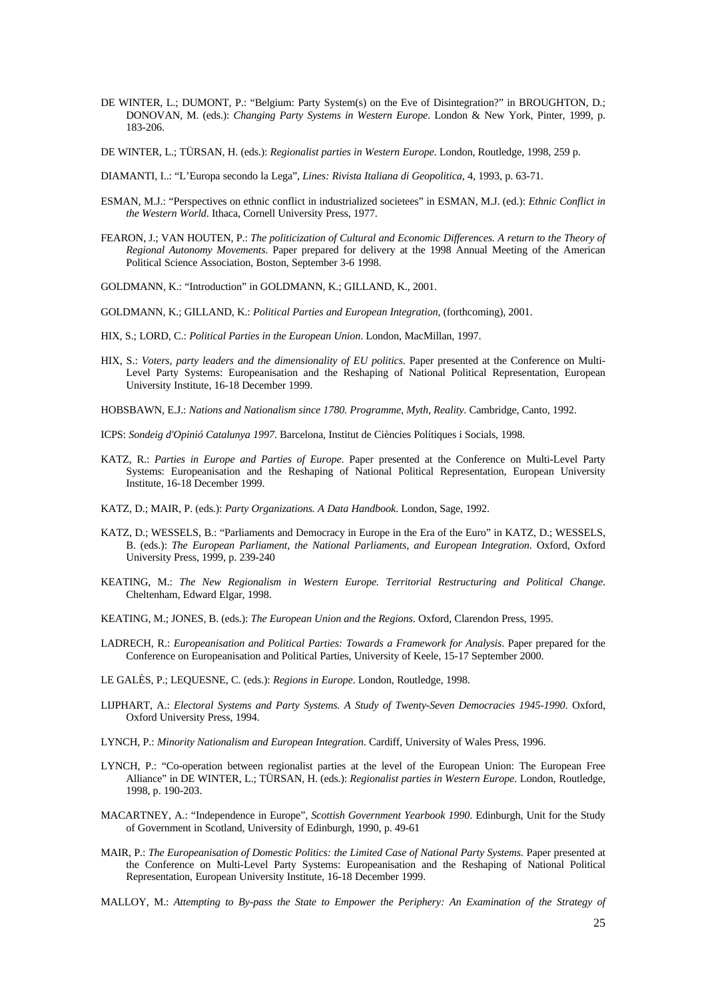- DE WINTER, L.; DUMONT, P.: "Belgium: Party System(s) on the Eve of Disintegration?" in BROUGHTON, D.; DONOVAN, M. (eds.): *Changing Party Systems in Western Europe*. London & New York, Pinter, 1999, p. 183-206.
- DE WINTER, L.; TÜRSAN, H. (eds.): *Regionalist parties in Western Europe*. London, Routledge, 1998, 259 p.
- DIAMANTI, I..: "L'Europa secondo la Lega", *Lines: Rivista Italiana di Geopolitica*, 4, 1993, p. 63-71.
- ESMAN, M.J.: "Perspectives on ethnic conflict in industrialized societees" in ESMAN, M.J. (ed.): *Ethnic Conflict in the Western World*. Ithaca, Cornell University Press, 1977.
- FEARON, J.; VAN HOUTEN, P.: *The politicization of Cultural and Economic Differences. A return to the Theory of Regional Autonomy Movements*. Paper prepared for delivery at the 1998 Annual Meeting of the American Political Science Association, Boston, September 3-6 1998.
- GOLDMANN, K.: "Introduction" in GOLDMANN, K.; GILLAND, K., 2001.
- GOLDMANN, K.; GILLAND, K.: *Political Parties and European Integration*, (forthcoming), 2001.
- HIX, S.; LORD, C.: *Political Parties in the European Union*. London, MacMillan, 1997.
- HIX, S.: *Voters, party leaders and the dimensionality of EU politics*. Paper presented at the Conference on Multi-Level Party Systems: Europeanisation and the Reshaping of National Political Representation, European University Institute, 16-18 December 1999.
- HOBSBAWN, E.J.: *Nations and Nationalism since 1780. Programme, Myth, Reality*. Cambridge, Canto, 1992.
- ICPS: *Sondeig d'Opinió Catalunya 1997*. Barcelona, Institut de Ciències Polítiques i Socials, 1998.
- KATZ, R.: *Parties in Europe and Parties of Europe*. Paper presented at the Conference on Multi-Level Party Systems: Europeanisation and the Reshaping of National Political Representation, European University Institute, 16-18 December 1999.
- KATZ, D.; MAIR, P. (eds.): *Party Organizations. A Data Handbook*. London, Sage, 1992.
- KATZ, D.; WESSELS, B.: "Parliaments and Democracy in Europe in the Era of the Euro" in KATZ, D.; WESSELS, B. (eds.): *The European Parliament, the National Parliaments, and European Integration*. Oxford, Oxford University Press, 1999, p. 239-240
- KEATING, M.: *The New Regionalism in Western Europe. Territorial Restructuring and Political Change*. Cheltenham, Edward Elgar, 1998.
- KEATING, M.; JONES, B. (eds.): *The European Union and the Regions*. Oxford, Clarendon Press, 1995.
- LADRECH, R.: *Europeanisation and Political Parties: Towards a Framework for Analysis*. Paper prepared for the Conference on Europeanisation and Political Parties, University of Keele, 15-17 September 2000.
- LE GALÈS, P.; LEQUESNE, C. (eds.): *Regions in Europe*. London, Routledge, 1998.
- LIJPHART, A.: *Electoral Systems and Party Systems. A Study of Twenty-Seven Democracies 1945-1990*. Oxford, Oxford University Press, 1994.
- LYNCH, P.: *Minority Nationalism and European Integration*. Cardiff, University of Wales Press, 1996.
- LYNCH, P.: "Co-operation between regionalist parties at the level of the European Union: The European Free Alliance" in DE WINTER, L.; TÜRSAN, H. (eds.): *Regionalist parties in Western Europe*. London, Routledge, 1998, p. 190-203.
- MACARTNEY, A.: "Independence in Europe", *Scottish Government Yearbook 1990*. Edinburgh, Unit for the Study of Government in Scotland, University of Edinburgh, 1990, p. 49-61
- MAIR, P.: *The Europeanisation of Domestic Politics: the Limited Case of National Party Systems*. Paper presented at the Conference on Multi-Level Party Systems: Europeanisation and the Reshaping of National Political Representation, European University Institute, 16-18 December 1999.
- MALLOY, M.: *Attempting to By-pass the State to Empower the Periphery: An Examination of the Strategy of*